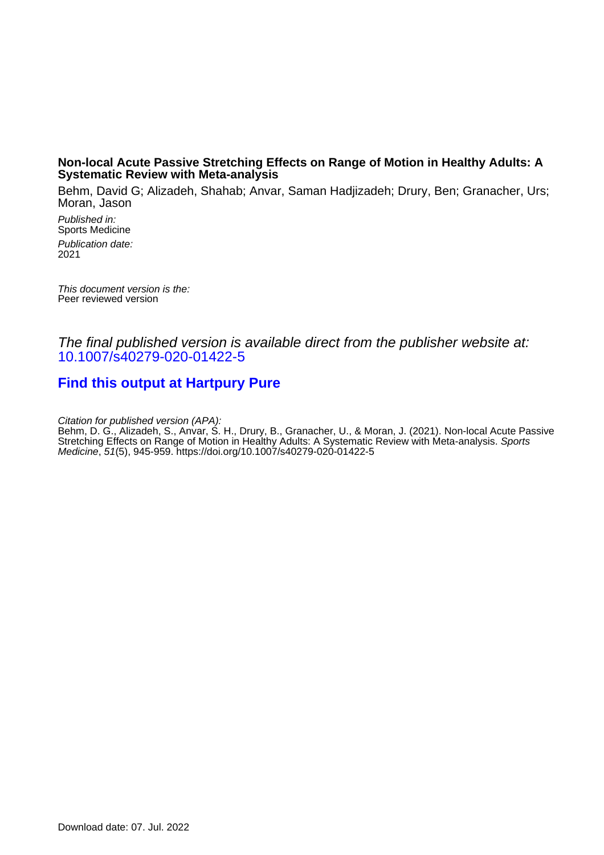## **Non-local Acute Passive Stretching Effects on Range of Motion in Healthy Adults: A Systematic Review with Meta-analysis**

Behm, David G; Alizadeh, Shahab; Anvar, Saman Hadjizadeh; Drury, Ben; Granacher, Urs; Moran, Jason

Published in: Sports Medicine Publication date: 2021

This document version is the: Peer reviewed version

The final published version is available direct from the publisher website at: [10.1007/s40279-020-01422-5](https://doi.org/10.1007/s40279-020-01422-5)

# **[Find this output at Hartpury Pure](https://hartpury.pure.elsevier.com/en/publications/ea7c6afd-3e56-4e6a-a58a-9a1ccc5a968c)**

Citation for published version (APA):

Behm, D. G., Alizadeh, S., Anvar, S. H., Drury, B., Granacher, U., & Moran, J. (2021). Non-local Acute Passive Stretching Effects on Range of Motion in Healthy Adults: A Systematic Review with Meta-analysis. Sports Medicine, 51(5), 945-959. <https://doi.org/10.1007/s40279-020-01422-5>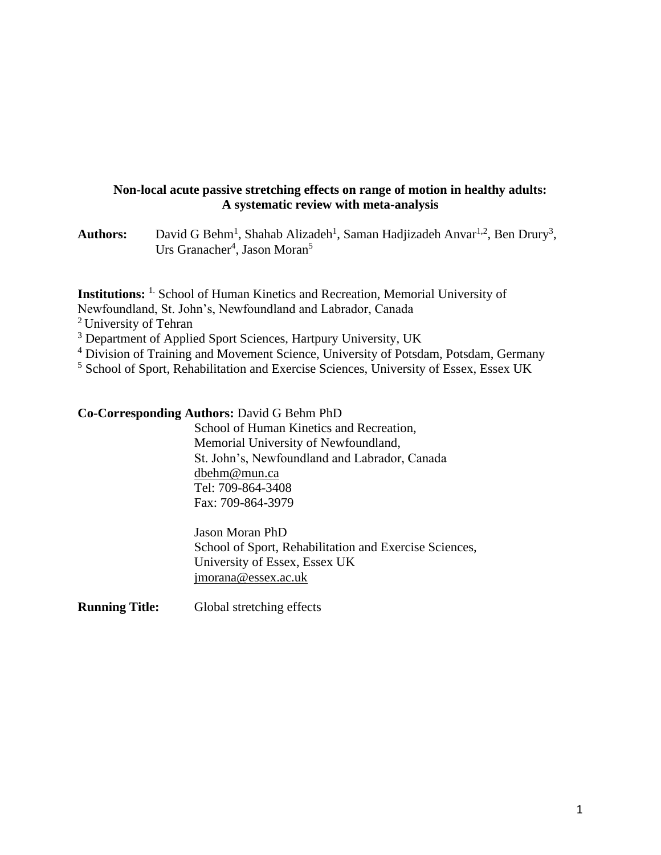## **Non-local acute passive stretching effects on range of motion in healthy adults: A systematic review with meta-analysis**

Authors: David G Behm<sup>1</sup>, Shahab Alizadeh<sup>1</sup>, Saman Hadjizadeh Anvar<sup>1,2</sup>, Ben Drury<sup>3</sup>, Urs Granacher<sup>4</sup>, Jason Moran<sup>5</sup>

**Institutions:** 1. School of Human Kinetics and Recreation, Memorial University of

Newfoundland, St. John's, Newfoundland and Labrador, Canada

<sup>2</sup> University of Tehran

<sup>3</sup> Department of Applied Sport Sciences, Hartpury University, UK

<sup>4</sup> Division of Training and Movement Science, University of Potsdam, Potsdam, Germany

<sup>5</sup> School of Sport, Rehabilitation and Exercise Sciences, University of Essex, Essex UK

## **Co-Corresponding Authors:** David G Behm PhD

School of Human Kinetics and Recreation, Memorial University of Newfoundland, St. John's, Newfoundland and Labrador, Canada [dbehm@mun.ca](mailto:dbehm@mun.ca) Tel: 709-864-3408 Fax: 709-864-3979

Jason Moran PhD School of Sport, Rehabilitation and Exercise Sciences, University of Essex, Essex UK [jmorana@essex.ac.uk](mailto:jmorana@essex.ac.uk)

**Running Title:** Global stretching effects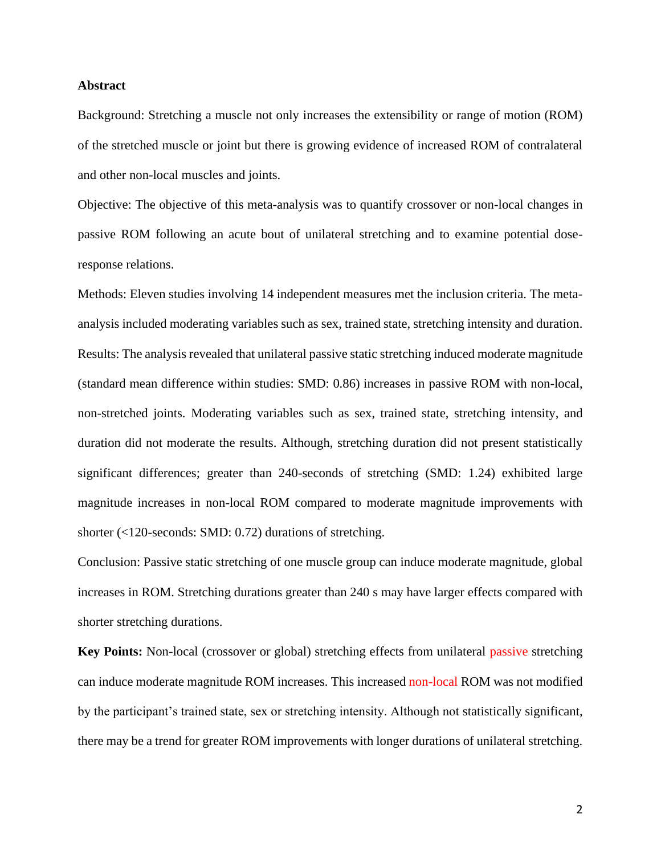### **Abstract**

Background: Stretching a muscle not only increases the extensibility or range of motion (ROM) of the stretched muscle or joint but there is growing evidence of increased ROM of contralateral and other non-local muscles and joints.

Objective: The objective of this meta-analysis was to quantify crossover or non-local changes in passive ROM following an acute bout of unilateral stretching and to examine potential doseresponse relations.

Methods: Eleven studies involving 14 independent measures met the inclusion criteria. The metaanalysis included moderating variables such as sex, trained state, stretching intensity and duration. Results: The analysis revealed that unilateral passive static stretching induced moderate magnitude (standard mean difference within studies: SMD: 0.86) increases in passive ROM with non-local, non-stretched joints. Moderating variables such as sex, trained state, stretching intensity, and duration did not moderate the results. Although, stretching duration did not present statistically significant differences; greater than 240-seconds of stretching (SMD: 1.24) exhibited large magnitude increases in non-local ROM compared to moderate magnitude improvements with shorter (<120-seconds: SMD: 0.72) durations of stretching.

Conclusion: Passive static stretching of one muscle group can induce moderate magnitude, global increases in ROM. Stretching durations greater than 240 s may have larger effects compared with shorter stretching durations.

**Key Points:** Non-local (crossover or global) stretching effects from unilateral passive stretching can induce moderate magnitude ROM increases. This increased non-local ROM was not modified by the participant's trained state, sex or stretching intensity. Although not statistically significant, there may be a trend for greater ROM improvements with longer durations of unilateral stretching.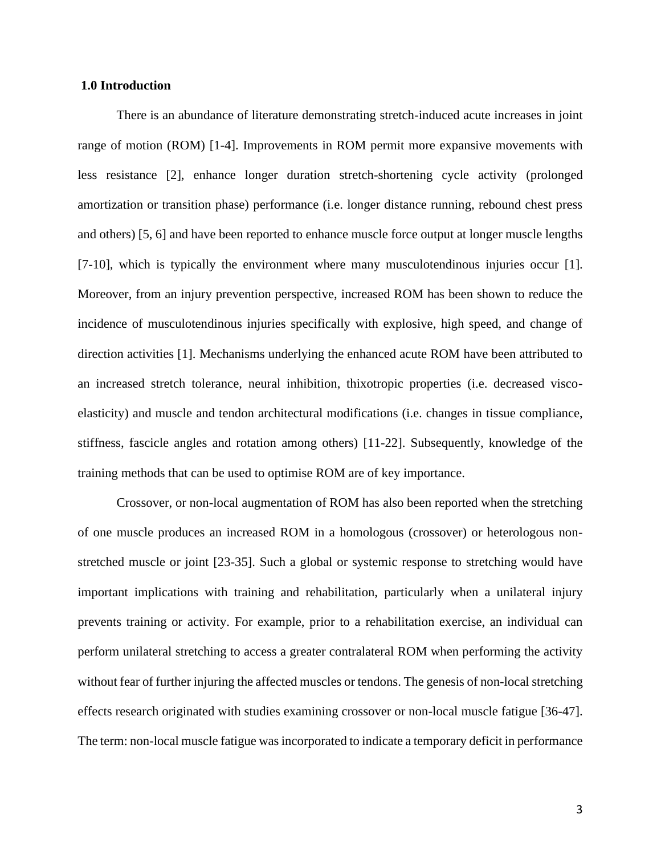### **1.0 Introduction**

There is an abundance of literature demonstrating stretch-induced acute increases in joint range of motion (ROM) [1-4]. Improvements in ROM permit more expansive movements with less resistance [2], enhance longer duration stretch-shortening cycle activity (prolonged amortization or transition phase) performance (i.e. longer distance running, rebound chest press and others) [5, 6] and have been reported to enhance muscle force output at longer muscle lengths [7-10], which is typically the environment where many musculotendinous injuries occur [1]. Moreover, from an injury prevention perspective, increased ROM has been shown to reduce the incidence of musculotendinous injuries specifically with explosive, high speed, and change of direction activities [1]. Mechanisms underlying the enhanced acute ROM have been attributed to an increased stretch tolerance, neural inhibition, thixotropic properties (i.e. decreased viscoelasticity) and muscle and tendon architectural modifications (i.e. changes in tissue compliance, stiffness, fascicle angles and rotation among others) [11-22]. Subsequently, knowledge of the training methods that can be used to optimise ROM are of key importance.

Crossover, or non-local augmentation of ROM has also been reported when the stretching of one muscle produces an increased ROM in a homologous (crossover) or heterologous nonstretched muscle or joint [23-35]. Such a global or systemic response to stretching would have important implications with training and rehabilitation, particularly when a unilateral injury prevents training or activity. For example, prior to a rehabilitation exercise, an individual can perform unilateral stretching to access a greater contralateral ROM when performing the activity without fear of further injuring the affected muscles or tendons. The genesis of non-local stretching effects research originated with studies examining crossover or non-local muscle fatigue [36-47]. The term: non-local muscle fatigue was incorporated to indicate a temporary deficit in performance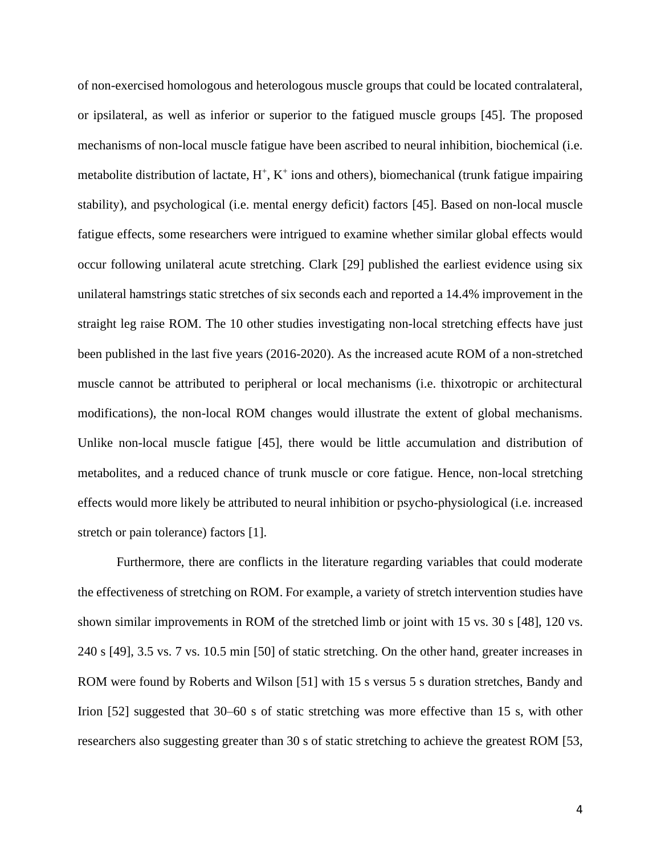of non-exercised homologous and heterologous muscle groups that could be located contralateral, or ipsilateral, as well as inferior or superior to the fatigued muscle groups [45]. The proposed mechanisms of non-local muscle fatigue have been ascribed to neural inhibition, biochemical (i.e. metabolite distribution of lactate,  $H^+$ ,  $K^+$  ions and others), biomechanical (trunk fatigue impairing stability), and psychological (i.e. mental energy deficit) factors [45]. Based on non-local muscle fatigue effects, some researchers were intrigued to examine whether similar global effects would occur following unilateral acute stretching. Clark [29] published the earliest evidence using six unilateral hamstrings static stretches of six seconds each and reported a 14.4% improvement in the straight leg raise ROM. The 10 other studies investigating non-local stretching effects have just been published in the last five years (2016-2020). As the increased acute ROM of a non-stretched muscle cannot be attributed to peripheral or local mechanisms (i.e. thixotropic or architectural modifications), the non-local ROM changes would illustrate the extent of global mechanisms. Unlike non-local muscle fatigue [45], there would be little accumulation and distribution of metabolites, and a reduced chance of trunk muscle or core fatigue. Hence, non-local stretching effects would more likely be attributed to neural inhibition or psycho-physiological (i.e. increased stretch or pain tolerance) factors [1].

Furthermore, there are conflicts in the literature regarding variables that could moderate the effectiveness of stretching on ROM. For example, a variety of stretch intervention studies have shown similar improvements in ROM of the stretched limb or joint with 15 vs. 30 s [48], 120 vs. 240 s [49], 3.5 vs. 7 vs. 10.5 min [50] of static stretching. On the other hand, greater increases in ROM were found by Roberts and Wilson [51] with 15 s versus 5 s duration stretches, Bandy and Irion [52] suggested that 30–60 s of static stretching was more effective than 15 s, with other researchers also suggesting greater than 30 s of static stretching to achieve the greatest ROM [53,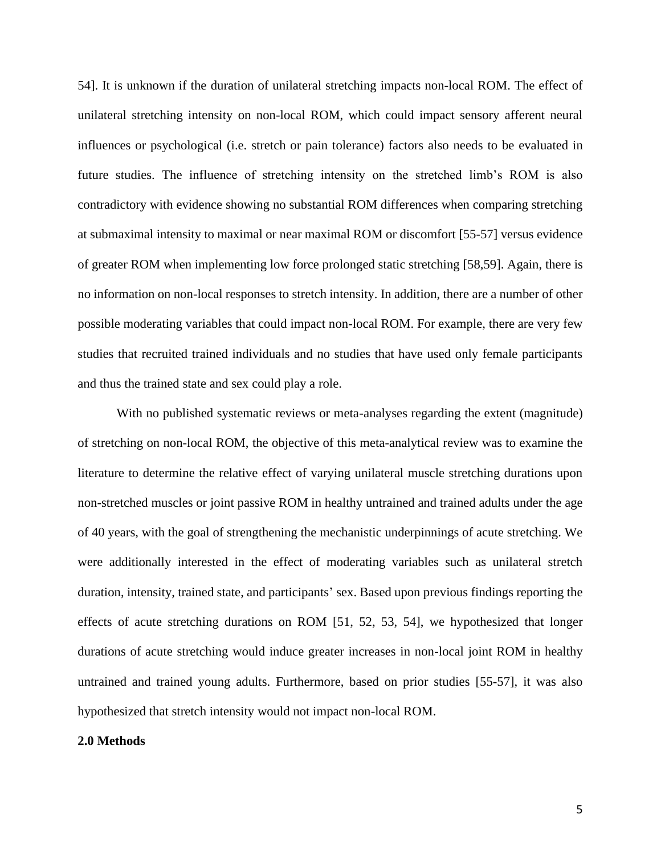54]. It is unknown if the duration of unilateral stretching impacts non-local ROM. The effect of unilateral stretching intensity on non-local ROM, which could impact sensory afferent neural influences or psychological (i.e. stretch or pain tolerance) factors also needs to be evaluated in future studies. The influence of stretching intensity on the stretched limb's ROM is also contradictory with evidence showing no substantial ROM differences when comparing stretching at submaximal intensity to maximal or near maximal ROM or discomfort [55-57] versus evidence of greater ROM when implementing low force prolonged static stretching [58,59]. Again, there is no information on non-local responses to stretch intensity. In addition, there are a number of other possible moderating variables that could impact non-local ROM. For example, there are very few studies that recruited trained individuals and no studies that have used only female participants and thus the trained state and sex could play a role.

With no published systematic reviews or meta-analyses regarding the extent (magnitude) of stretching on non-local ROM, the objective of this meta-analytical review was to examine the literature to determine the relative effect of varying unilateral muscle stretching durations upon non-stretched muscles or joint passive ROM in healthy untrained and trained adults under the age of 40 years, with the goal of strengthening the mechanistic underpinnings of acute stretching. We were additionally interested in the effect of moderating variables such as unilateral stretch duration, intensity, trained state, and participants' sex. Based upon previous findings reporting the effects of acute stretching durations on ROM [51, 52, 53, 54], we hypothesized that longer durations of acute stretching would induce greater increases in non-local joint ROM in healthy untrained and trained young adults. Furthermore, based on prior studies [55-57], it was also hypothesized that stretch intensity would not impact non-local ROM.

### **2.0 Methods**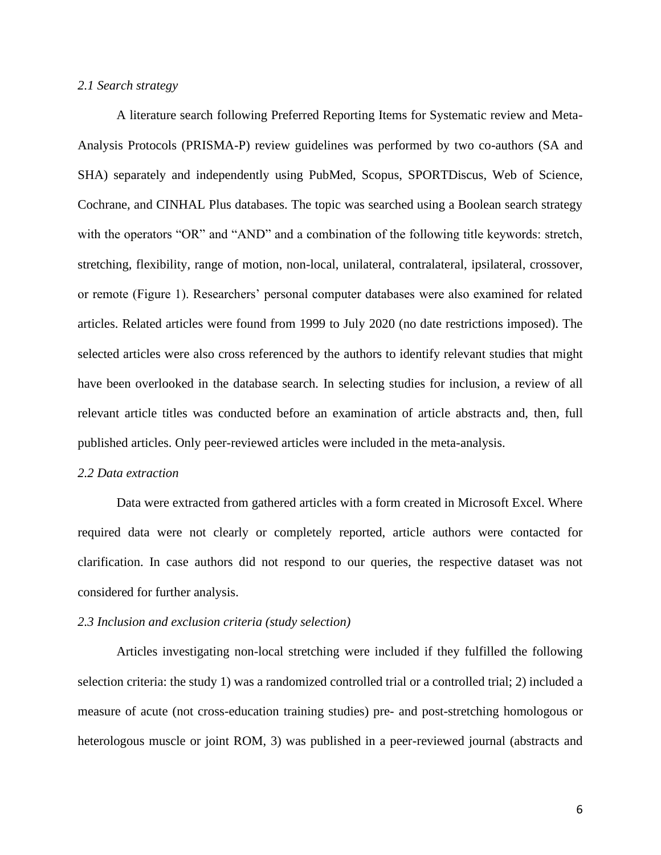#### *2.1 Search strategy*

A literature search following Preferred Reporting Items for Systematic review and Meta-Analysis Protocols (PRISMA-P) review guidelines was performed by two co-authors (SA and SHA) separately and independently using PubMed, Scopus, SPORTDiscus, Web of Science, Cochrane, and CINHAL Plus databases. The topic was searched using a Boolean search strategy with the operators "OR" and "AND" and a combination of the following title keywords: stretch, stretching, flexibility, range of motion, non-local, unilateral, contralateral, ipsilateral, crossover, or remote (Figure 1). Researchers' personal computer databases were also examined for related articles. Related articles were found from 1999 to July 2020 (no date restrictions imposed). The selected articles were also cross referenced by the authors to identify relevant studies that might have been overlooked in the database search. In selecting studies for inclusion, a review of all relevant article titles was conducted before an examination of article abstracts and, then, full published articles. Only peer-reviewed articles were included in the meta-analysis.

#### *2.2 Data extraction*

Data were extracted from gathered articles with a form created in Microsoft Excel. Where required data were not clearly or completely reported, article authors were contacted for clarification. In case authors did not respond to our queries, the respective dataset was not considered for further analysis.

#### *2.3 Inclusion and exclusion criteria (study selection)*

Articles investigating non-local stretching were included if they fulfilled the following selection criteria: the study 1) was a randomized controlled trial or a controlled trial; 2) included a measure of acute (not cross-education training studies) pre- and post-stretching homologous or heterologous muscle or joint ROM, 3) was published in a peer-reviewed journal (abstracts and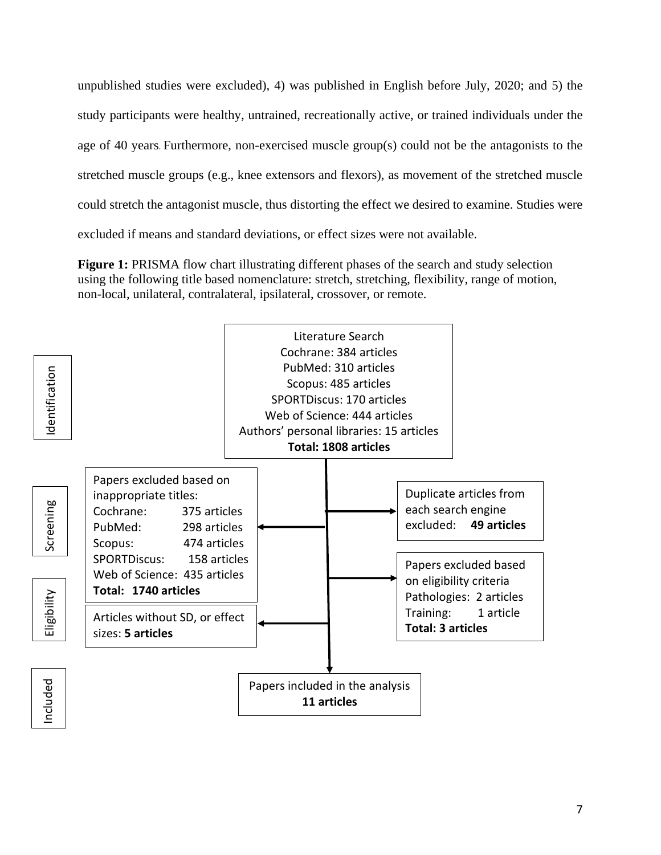unpublished studies were excluded), 4) was published in English before July, 2020; and 5) the study participants were healthy, untrained, recreationally active, or trained individuals under the age of 40 years. Furthermore, non-exercised muscle group(s) could not be the antagonists to the stretched muscle groups (e.g., knee extensors and flexors), as movement of the stretched muscle could stretch the antagonist muscle, thus distorting the effect we desired to examine. Studies were excluded if means and standard deviations, or effect sizes were not available.

**Figure 1:** PRISMA flow chart illustrating different phases of the search and study selection using the following title based nomenclature: stretch, stretching, flexibility, range of motion, non-local, unilateral, contralateral, ipsilateral, crossover, or remote.

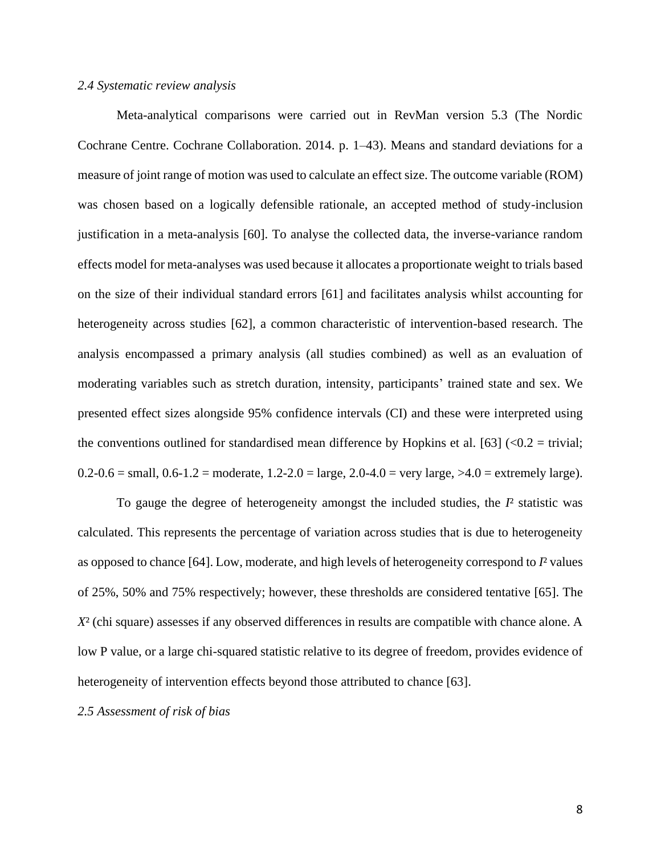#### *2.4 Systematic review analysis*

Meta-analytical comparisons were carried out in RevMan version 5.3 (The Nordic Cochrane Centre. Cochrane Collaboration. 2014. p. 1–43). Means and standard deviations for a measure of joint range of motion was used to calculate an effect size. The outcome variable (ROM) was chosen based on a logically defensible rationale, an accepted method of study-inclusion justification in a meta-analysis [60]. To analyse the collected data, the inverse-variance random effects model for meta-analyses was used because it allocates a proportionate weight to trials based on the size of their individual standard errors [61] and facilitates analysis whilst accounting for heterogeneity across studies [62], a common characteristic of intervention-based research. The analysis encompassed a primary analysis (all studies combined) as well as an evaluation of moderating variables such as stretch duration, intensity, participants' trained state and sex. We presented effect sizes alongside 95% confidence intervals (CI) and these were interpreted using the conventions outlined for standardised mean difference by Hopkins et al. [63]  $\left($  <0.2 = trivial;  $0.2-0.6$  = small,  $0.6-1.2$  = moderate,  $1.2-2.0$  = large,  $2.0-4.0$  = very large,  $>4.0$  = extremely large).

To gauge the degree of heterogeneity amongst the included studies, the *I*² statistic was calculated. This represents the percentage of variation across studies that is due to heterogeneity as opposed to chance [64]. Low, moderate, and high levels of heterogeneity correspond to *I*² values of 25%, 50% and 75% respectively; however, these thresholds are considered tentative [65]. The *X*² (chi square) assesses if any observed differences in results are compatible with chance alone. A low P value, or a large chi-squared statistic relative to its degree of freedom, provides evidence of heterogeneity of intervention effects beyond those attributed to chance [63].

#### *2.5 Assessment of risk of bias*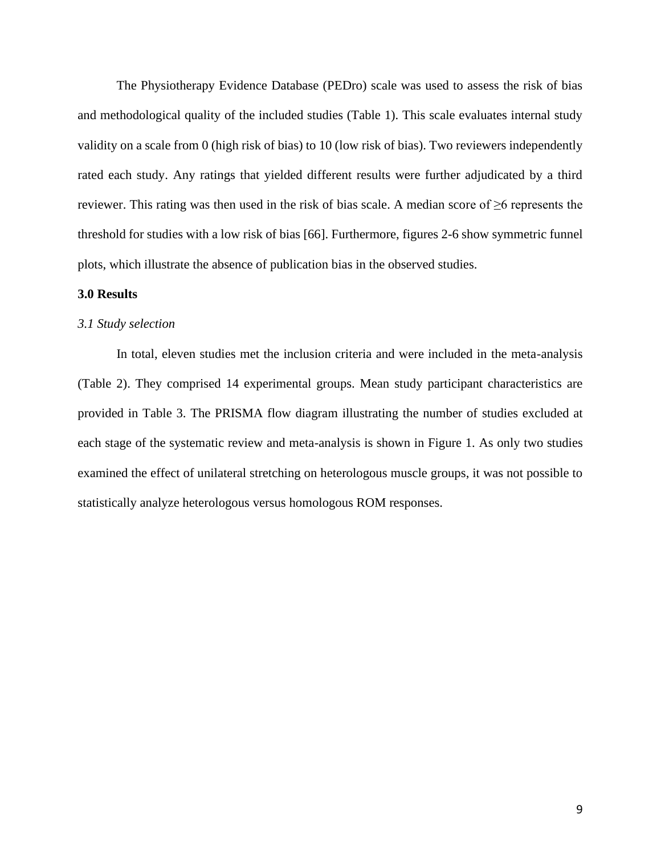The Physiotherapy Evidence Database (PEDro) scale was used to assess the risk of bias and methodological quality of the included studies (Table 1). This scale evaluates internal study validity on a scale from 0 (high risk of bias) to 10 (low risk of bias). Two reviewers independently rated each study. Any ratings that yielded different results were further adjudicated by a third reviewer. This rating was then used in the risk of bias scale. A median score of ≥6 represents the threshold for studies with a low risk of bias [66]. Furthermore, figures 2-6 show symmetric funnel plots, which illustrate the absence of publication bias in the observed studies.

### **3.0 Results**

#### *3.1 Study selection*

In total, eleven studies met the inclusion criteria and were included in the meta-analysis (Table 2). They comprised 14 experimental groups. Mean study participant characteristics are provided in Table 3. The PRISMA flow diagram illustrating the number of studies excluded at each stage of the systematic review and meta-analysis is shown in Figure 1. As only two studies examined the effect of unilateral stretching on heterologous muscle groups, it was not possible to statistically analyze heterologous versus homologous ROM responses.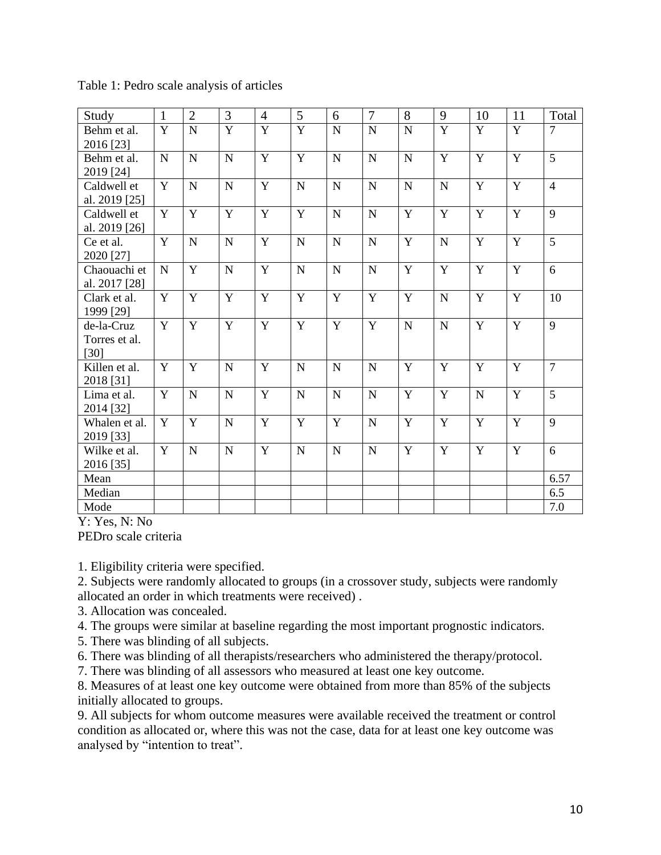| Study                                 | $\mathbf{1}$   | $\overline{2}$ | 3              | $\overline{4}$ | 5              | 6           | $\overline{7}$ | 8              | 9              | 10             | 11             | Total          |
|---------------------------------------|----------------|----------------|----------------|----------------|----------------|-------------|----------------|----------------|----------------|----------------|----------------|----------------|
| Behm et al.<br>2016 [23]              | $\overline{Y}$ | $\overline{N}$ | $\overline{Y}$ | Y              | $\overline{Y}$ | $\mathbf N$ | $\mathbf N$    | $\mathbf N$    | $\overline{Y}$ | Y              | Y              | $\overline{7}$ |
| Behm et al.<br>2019 [24]              | $\mathbf N$    | $\overline{N}$ | N              | $\mathbf Y$    | Y              | $\mathbf N$ | ${\bf N}$      | $\overline{N}$ | Y              | $\overline{Y}$ | $\mathbf Y$    | $\overline{5}$ |
| Caldwell et<br>al. 2019 [25]          | Y              | ${\bf N}$      | $\mathbf N$    | $\mathbf Y$    | ${\bf N}$      | $\mathbf N$ | ${\bf N}$      | ${\bf N}$      | $\mathbf N$    | Y              | $\mathbf Y$    | $\overline{4}$ |
| Caldwell et<br>al. 2019 [26]          | Y              | Y              | Y              | Y              | Y              | N           | ${\bf N}$      | $\mathbf Y$    | Y              | Y              | Y              | 9              |
| Ce et al.<br>2020 [27]                | Y              | $\mathbf N$    | $\mathbf N$    | $\overline{Y}$ | $\mathbf N$    | $\mathbf N$ | $\overline{N}$ | $\overline{Y}$ | $\mathbf N$    | $\overline{Y}$ | $\overline{Y}$ | 5              |
| Chaouachi et<br>al. 2017 [28]         | $\mathbf N$    | Y              | $\mathbf N$    | $\mathbf{Y}$   | $\mathbf N$    | $\mathbf N$ | ${\bf N}$      | Y              | $\mathbf Y$    | $\overline{Y}$ | Y              | 6              |
| Clark et al.<br>1999 [29]             | Y              | Y              | Y              | $\mathbf{Y}$   | Y              | Y           | $\mathbf Y$    | Y              | $\mathbf N$    | Y              | Y              | 10             |
| de-la-Cruz<br>Torres et al.<br>$[30]$ | Y              | Y              | Y              | Y              | Y              | Y           | $\mathbf Y$    | N              | $\mathbf N$    | $\mathbf Y$    | Y              | 9              |
| Killen et al.<br>2018 [31]            | Y              | Y              | $\mathbf N$    | Y              | $\mathbf N$    | N           | $\mathbf N$    | Y              | Y              | Y              | Y              | $\overline{7}$ |
| Lima et al.<br>2014 [32]              | Y              | $\overline{N}$ | $\mathbf N$    | Y              | ${\bf N}$      | $\mathbf N$ | ${\bf N}$      | $\mathbf Y$    | Y              | ${\bf N}$      | Y              | 5              |
| Whalen et al.<br>2019 [33]            | Y              | Y              | $\mathbf N$    | $\mathbf{Y}$   | Y              | Y           | ${\bf N}$      | Y              | Y              | Y              | Y              | 9              |
| Wilke et al.<br>2016 [35]             | $\mathbf Y$    | $\mathbf N$    | $\mathbf N$    | $\mathbf{Y}$   | $\mathbf N$    | $\mathbf N$ | ${\bf N}$      | Y              | $\mathbf Y$    | Y              | Y              | 6              |
| Mean                                  |                |                |                |                |                |             |                |                |                |                |                | 6.57           |
| Median                                |                |                |                |                |                |             |                |                |                |                |                | 6.5            |
| Mode                                  |                |                |                |                |                |             |                |                |                |                |                | 7.0            |

Table 1: Pedro scale analysis of articles

Y: Yes, N: No

PEDro scale criteria

1. Eligibility criteria were specified.

2. Subjects were randomly allocated to groups (in a crossover study, subjects were randomly allocated an order in which treatments were received) .

3. Allocation was concealed.

4. The groups were similar at baseline regarding the most important prognostic indicators.

5. There was blinding of all subjects.

6. There was blinding of all therapists/researchers who administered the therapy/protocol.

7. There was blinding of all assessors who measured at least one key outcome.

8. Measures of at least one key outcome were obtained from more than 85% of the subjects initially allocated to groups.

9. All subjects for whom outcome measures were available received the treatment or control condition as allocated or, where this was not the case, data for at least one key outcome was analysed by "intention to treat".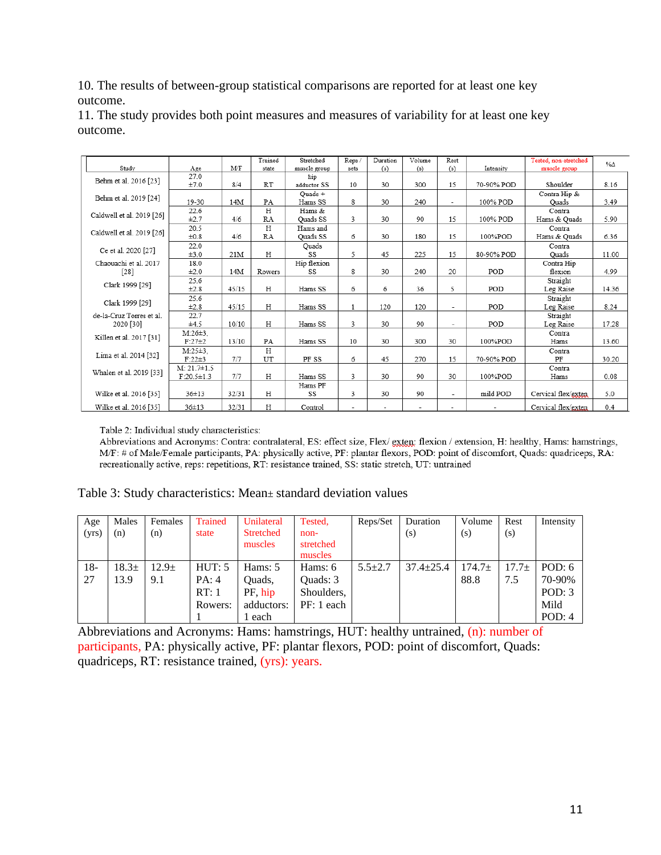10. The results of between-group statistical comparisons are reported for at least one key outcome.

|                           |                   |       | Trained   | Stretched    | Reps /                   | Duration | Volume | Rest                     |            | Tested, non-stretched                                                                                           |             |
|---------------------------|-------------------|-------|-----------|--------------|--------------------------|----------|--------|--------------------------|------------|-----------------------------------------------------------------------------------------------------------------|-------------|
| Study                     | Age               | M/F   | state     | muscle group | sets                     | (s)      | (s)    | (s)                      | Intensity  | muscle group                                                                                                    | $\% \Delta$ |
| Behm et al. 2016 [23]     | 27.0              |       |           | hip          |                          |          |        |                          |            |                                                                                                                 |             |
|                           | ±7.0              | 8/4   | <b>RT</b> | adductor SS  | 10                       | 30       | 300    | 15                       | 70-90% POD | Shoulder                                                                                                        | 8.16        |
|                           |                   |       |           | Quads +      |                          |          |        |                          |            | Contra Hip &                                                                                                    |             |
| Behm et al. 2019 [24]     | 19-30             | 14M   | PA        | Hams SS      | 8                        | 30       | 240    | $\sim$                   | 100% POD   | Ouads                                                                                                           | 3.49        |
|                           | 22.6              |       | H         | Hams &       |                          |          |        |                          |            | Contra                                                                                                          |             |
| Caldwell et al. 2019 [26] | $\pm 2.7$         | 4/6   | RA        | Quads SS     | 3                        | 30       | 90     | 15                       | 100% POD   | Hams & Quads                                                                                                    | 5.90        |
|                           | 20.5              |       | H         | Hams and     |                          |          |        |                          |            | Contra                                                                                                          |             |
| Caldwell et al. 2019 [26] | ±0.8              | 4/6   | RA        | Ouads SS     | 6                        | 30       | 180    | 15                       | 100%POD    | Hams & Quads                                                                                                    | 6.36        |
|                           | 22.0              |       |           | Quads        |                          |          |        |                          |            | Contra<br>Ouads                                                                                                 |             |
| Ce et al. 2020 [27]       | ±3.0              | 21M   | H         | SS           | 5                        | 45       | 225    | 15                       | 80-90% POD |                                                                                                                 | 11.00       |
| Chaouachi et al. 2017     | 18.0              |       |           | Hip flexion  |                          |          |        |                          |            | Contra Hip                                                                                                      |             |
| $[28]$                    | ±2.0              | 14M   | Rowers    | SS           | 8                        | 30       | 240    | 20                       | POD        | flexion                                                                                                         | 4.99        |
|                           | 25.6              |       |           |              |                          |          |        |                          |            | Straight                                                                                                        |             |
| Clark 1999 [29]           | ±2.8              | 45/15 | H         | Hams SS      | 6                        | 6        | 36     | 5                        | POD        | Leg Raise<br>Straight<br>Leg Raise<br>Straight<br>Leg Raise<br>Contra<br>Hams<br>Contra<br>PF<br>Contra<br>Hams | 14.36       |
|                           | 25.6              |       |           |              |                          |          |        |                          |            |                                                                                                                 |             |
| Clark 1999 [29]           | ±2.8              | 45/15 | H         | Hams SS      | 1                        | 120      | 120    | $\overline{\phantom{a}}$ | POD        |                                                                                                                 | 8.24        |
| de-la-Cruz Torres et al.  | 22.7              |       |           |              |                          |          |        |                          |            |                                                                                                                 |             |
| 2020 [30]                 | ±4.5              | 10/10 | Η         | Hams SS      | 3                        | 30       | 90     | $\overline{\phantom{a}}$ | POD        |                                                                                                                 | 17.28       |
|                           | $M:26\pm3$ ,      |       |           |              |                          |          |        |                          |            |                                                                                                                 |             |
| Killen et al. 2017 [31]   | $F:27\pm2$        | 13/10 | PA        | Hams SS      | 10                       | 30       | 300    | 30                       | 100%POD    |                                                                                                                 | 13.60       |
|                           | $M:25±3$ .        |       | H         |              |                          |          |        |                          |            |                                                                                                                 |             |
| Lima et al. 2014 [32]     | $F:22 \pm 3$      | 7/7   | UT        | PF SS        | 6                        | 45       | 270    | 15                       | 70-90% POD |                                                                                                                 | 30.20       |
| Whalen et al. 2019 [33]   | $M: 21.7 \pm 1.5$ |       |           |              |                          |          |        |                          |            |                                                                                                                 |             |
|                           | $F:20.5 \pm 1.3$  | 7/7   | H         | Hams SS      | 3                        | 30       | 90     | 30                       | 100%POD    |                                                                                                                 | 0.08        |
|                           |                   |       |           | Hams PF      |                          |          |        |                          |            |                                                                                                                 |             |
| Wilke et al. 2016 [35]    | $36 + 13$         | 32/31 | Н         | SS           | 3                        | 30       | 90     | $\overline{\phantom{a}}$ | mild POD   | Cervical flex/exten                                                                                             | 5.0         |
| Wilke et al. 2016 [35]    | $36 + 13$         | 32/31 | Н         | Control      | $\overline{\phantom{a}}$ |          |        | ٠                        |            | Cervical flex/exten                                                                                             | 0.4         |

11. The study provides both point measures and measures of variability for at least one key outcome.

Table 2: Individual study characteristics:

Abbreviations and Acronyms: Contra: contralateral, ES: effect size, Flex/ exten; flexion/extension, H: healthy, Hams: hamstrings, M/F: # of Male/Female participants, PA: physically active, PF: plantar flexors, POD: point of discomfort, Quads: quadriceps, RA: recreationally active, reps: repetitions, RT: resistance trained, SS: static stretch, UT: untrained

| Males<br>Age<br>(yrs)<br>(n)     | Females<br>(n)           | <b>Trained</b><br>state           | Unilateral<br><b>Stretched</b><br>muscles         | Tested.<br>non-<br>stretched<br>muscles         | Reps/Set      | Duration<br>(s) | Volume<br>(s)       | Rest<br>(s)    | Intensity                                      |
|----------------------------------|--------------------------|-----------------------------------|---------------------------------------------------|-------------------------------------------------|---------------|-----------------|---------------------|----------------|------------------------------------------------|
| $18-$<br>$18.3\pm$<br>27<br>13.9 | 12.9 <sub>±</sub><br>9.1 | HUT: 5<br>PA:4<br>RT:1<br>Rowers: | Hams: 5<br>Ouads.<br>PF hip<br>adductors:<br>each | Hams: 6<br>Quads: 3<br>Shoulders,<br>PF: 1 each | $5.5 \pm 2.7$ | $37.4 \pm 25.4$ | $174.7 \pm$<br>88.8 | $17.7+$<br>7.5 | POD: 6<br>70-90%<br>POD: $3$<br>Mild<br>POD: 4 |

Abbreviations and Acronyms: Hams: hamstrings, HUT: healthy untrained, (n): number of participants, PA: physically active, PF: plantar flexors, POD: point of discomfort, Quads: quadriceps, RT: resistance trained, (yrs): years.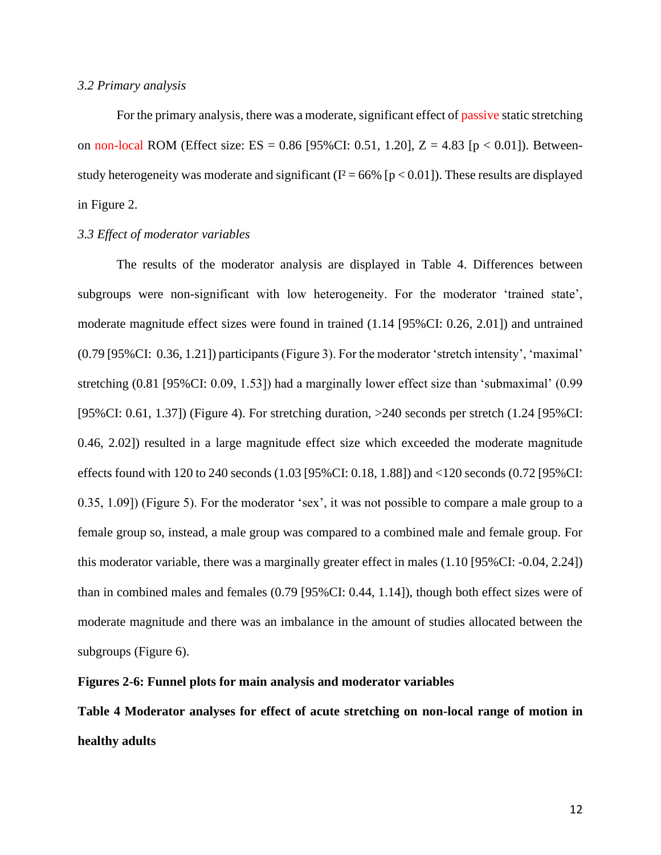### *3.2 Primary analysis*

For the primary analysis, there was a moderate, significant effect of passive static stretching on non-local ROM (Effect size: ES =  $0.86$  [95%CI: 0.51, 1.20], Z = 4.83 [p < 0.01]). Betweenstudy heterogeneity was moderate and significant ( $I^2 = 66\%$  [ $p < 0.01$ ]). These results are displayed in Figure 2.

### *3.3 Effect of moderator variables*

The results of the moderator analysis are displayed in Table 4. Differences between subgroups were non-significant with low heterogeneity. For the moderator 'trained state', moderate magnitude effect sizes were found in trained (1.14 [95%CI: 0.26, 2.01]) and untrained (0.79 [95%CI: 0.36, 1.21]) participants (Figure 3). For the moderator 'stretch intensity', 'maximal' stretching (0.81 [95%CI: 0.09, 1.53]) had a marginally lower effect size than 'submaximal' (0.99 [95%CI: 0.61, 1.37]) (Figure 4). For stretching duration, >240 seconds per stretch (1.24 [95%CI: 0.46, 2.02]) resulted in a large magnitude effect size which exceeded the moderate magnitude effects found with 120 to 240 seconds (1.03 [95%CI: 0.18, 1.88]) and <120 seconds (0.72 [95%CI: 0.35, 1.09]) (Figure 5). For the moderator 'sex', it was not possible to compare a male group to a female group so, instead, a male group was compared to a combined male and female group. For this moderator variable, there was a marginally greater effect in males (1.10 [95%CI: -0.04, 2.24]) than in combined males and females (0.79 [95%CI: 0.44, 1.14]), though both effect sizes were of moderate magnitude and there was an imbalance in the amount of studies allocated between the subgroups (Figure 6).

#### **Figures 2-6: Funnel plots for main analysis and moderator variables**

**Table 4 Moderator analyses for effect of acute stretching on non-local range of motion in healthy adults**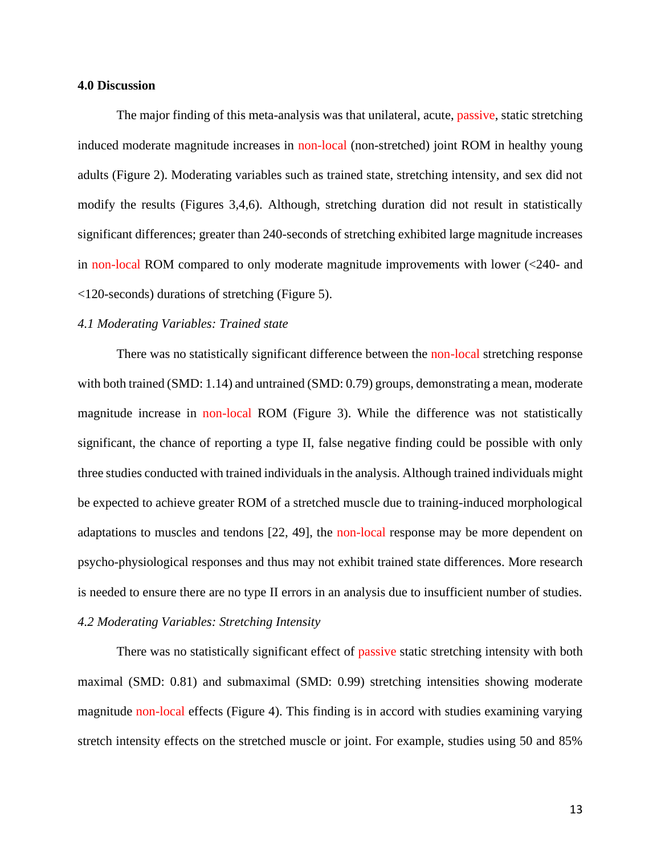#### **4.0 Discussion**

The major finding of this meta-analysis was that unilateral, acute, passive, static stretching induced moderate magnitude increases in non-local (non-stretched) joint ROM in healthy young adults (Figure 2). Moderating variables such as trained state, stretching intensity, and sex did not modify the results (Figures 3,4,6). Although, stretching duration did not result in statistically significant differences; greater than 240-seconds of stretching exhibited large magnitude increases in non-local ROM compared to only moderate magnitude improvements with lower (<240- and <120-seconds) durations of stretching (Figure 5).

### *4.1 Moderating Variables: Trained state*

There was no statistically significant difference between the non-local stretching response with both trained (SMD: 1.14) and untrained (SMD: 0.79) groups, demonstrating a mean, moderate magnitude increase in non-local ROM (Figure 3). While the difference was not statistically significant, the chance of reporting a type II, false negative finding could be possible with only three studies conducted with trained individuals in the analysis. Although trained individuals might be expected to achieve greater ROM of a stretched muscle due to training-induced morphological adaptations to muscles and tendons [22, 49], the non-local response may be more dependent on psycho-physiological responses and thus may not exhibit trained state differences. More research is needed to ensure there are no type II errors in an analysis due to insufficient number of studies. *4.2 Moderating Variables: Stretching Intensity*

There was no statistically significant effect of passive static stretching intensity with both maximal (SMD: 0.81) and submaximal (SMD: 0.99) stretching intensities showing moderate magnitude non-local effects (Figure 4). This finding is in accord with studies examining varying stretch intensity effects on the stretched muscle or joint. For example, studies using 50 and 85%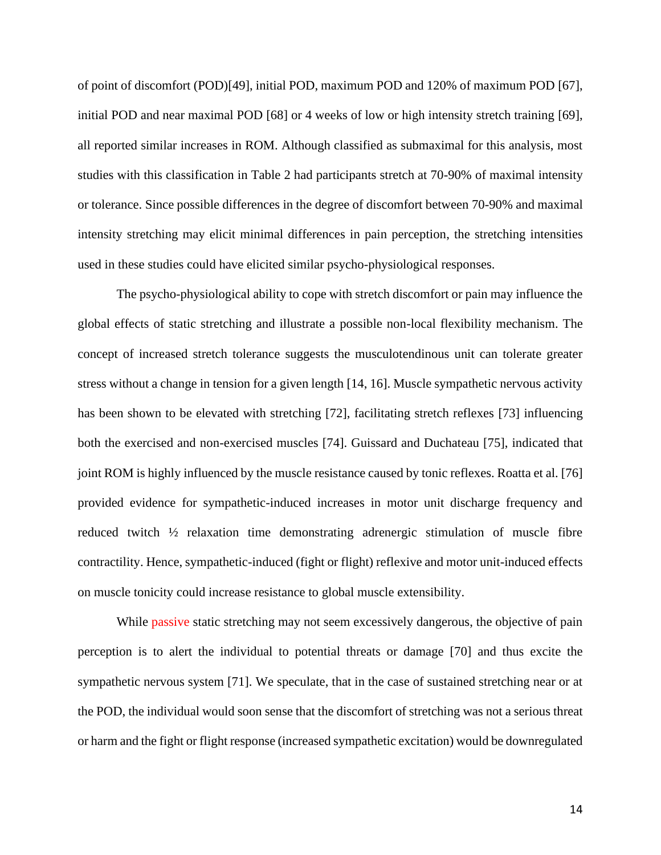of point of discomfort (POD)[49], initial POD, maximum POD and 120% of maximum POD [67], initial POD and near maximal POD [68] or 4 weeks of low or high intensity stretch training [69], all reported similar increases in ROM. Although classified as submaximal for this analysis, most studies with this classification in Table 2 had participants stretch at 70-90% of maximal intensity or tolerance. Since possible differences in the degree of discomfort between 70-90% and maximal intensity stretching may elicit minimal differences in pain perception, the stretching intensities used in these studies could have elicited similar psycho-physiological responses.

The psycho-physiological ability to cope with stretch discomfort or pain may influence the global effects of static stretching and illustrate a possible non-local flexibility mechanism. The concept of increased stretch tolerance suggests the musculotendinous unit can tolerate greater stress without a change in tension for a given length [14, 16]. Muscle sympathetic nervous activity has been shown to be elevated with stretching [72], facilitating stretch reflexes [73] influencing both the exercised and non-exercised muscles [74]. Guissard and Duchateau [75], indicated that joint ROM is highly influenced by the muscle resistance caused by tonic reflexes. Roatta et al. [76] provided evidence for sympathetic-induced increases in motor unit discharge frequency and reduced twitch ½ relaxation time demonstrating adrenergic stimulation of muscle fibre contractility. Hence, sympathetic-induced (fight or flight) reflexive and motor unit-induced effects on muscle tonicity could increase resistance to global muscle extensibility.

While passive static stretching may not seem excessively dangerous, the objective of pain perception is to alert the individual to potential threats or damage [70] and thus excite the sympathetic nervous system [71]. We speculate, that in the case of sustained stretching near or at the POD, the individual would soon sense that the discomfort of stretching was not a serious threat or harm and the fight or flight response (increased sympathetic excitation) would be downregulated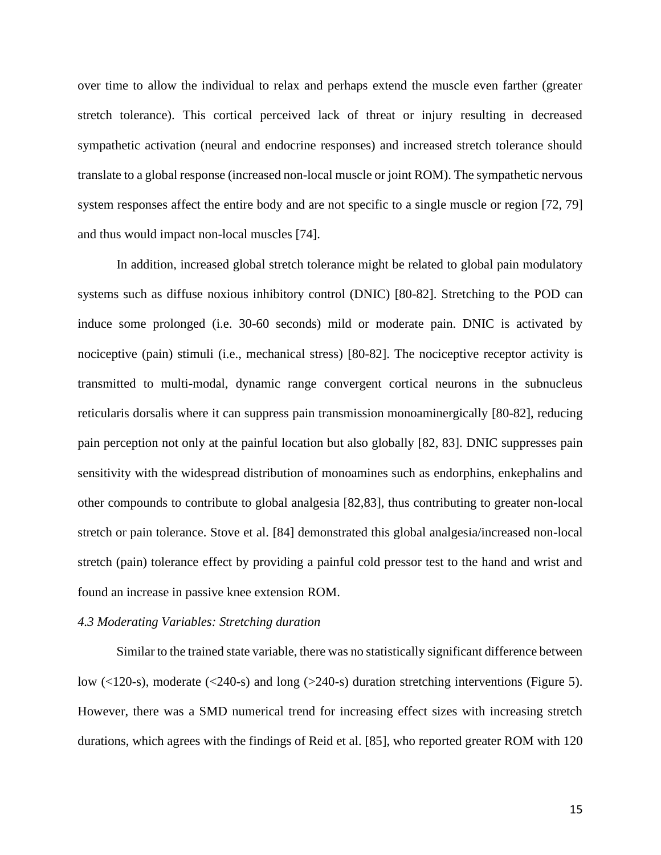over time to allow the individual to relax and perhaps extend the muscle even farther (greater stretch tolerance). This cortical perceived lack of threat or injury resulting in decreased sympathetic activation (neural and endocrine responses) and increased stretch tolerance should translate to a global response (increased non-local muscle or joint ROM). The sympathetic nervous system responses affect the entire body and are not specific to a single muscle or region [72, 79] and thus would impact non-local muscles [74].

In addition, increased global stretch tolerance might be related to global pain modulatory systems such as diffuse noxious inhibitory control (DNIC) [80-82]. Stretching to the POD can induce some prolonged (i.e. 30-60 seconds) mild or moderate pain. DNIC is activated by nociceptive (pain) stimuli (i.e., mechanical stress) [80-82]. The nociceptive receptor activity is transmitted to multi-modal, dynamic range convergent cortical neurons in the subnucleus reticularis dorsalis where it can suppress pain transmission monoaminergically [80-82], reducing pain perception not only at the painful location but also globally [82, 83]. DNIC suppresses pain sensitivity with the widespread distribution of monoamines such as endorphins, enkephalins and other compounds to contribute to global analgesia [82,83], thus contributing to greater non-local stretch or pain tolerance. Stove et al. [84] demonstrated this global analgesia/increased non-local stretch (pain) tolerance effect by providing a painful cold pressor test to the hand and wrist and found an increase in passive knee extension ROM.

#### *4.3 Moderating Variables: Stretching duration*

Similar to the trained state variable, there was no statistically significant difference between low (<120-s), moderate (<240-s) and long (>240-s) duration stretching interventions (Figure 5). However, there was a SMD numerical trend for increasing effect sizes with increasing stretch durations, which agrees with the findings of Reid et al. [85], who reported greater ROM with 120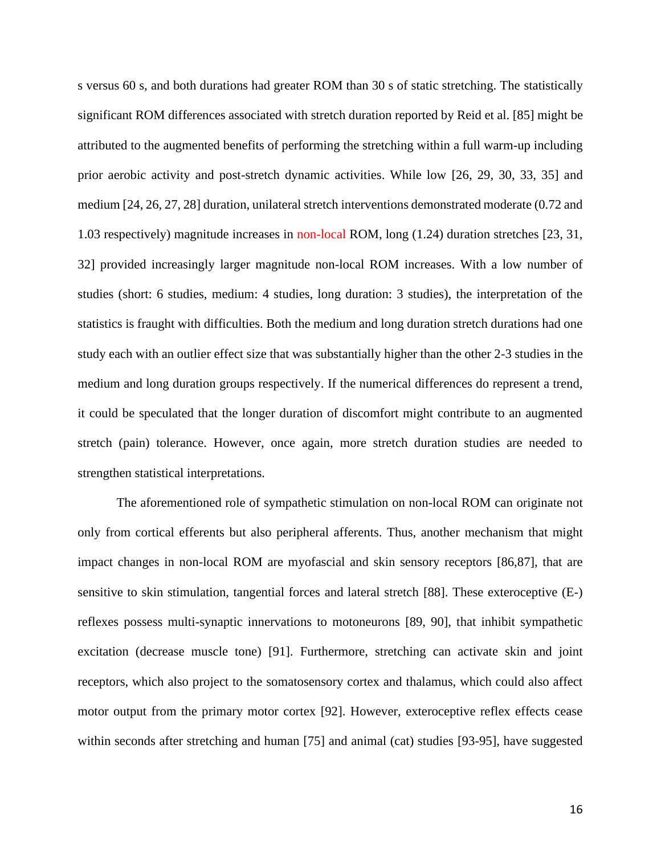s versus 60 s, and both durations had greater ROM than 30 s of static stretching. The statistically significant ROM differences associated with stretch duration reported by Reid et al. [85] might be attributed to the augmented benefits of performing the stretching within a full warm-up including prior aerobic activity and post-stretch dynamic activities. While low [26, 29, 30, 33, 35] and medium [24, 26, 27, 28] duration, unilateral stretch interventions demonstrated moderate (0.72 and 1.03 respectively) magnitude increases in non-local ROM, long (1.24) duration stretches [23, 31, 32] provided increasingly larger magnitude non-local ROM increases. With a low number of studies (short: 6 studies, medium: 4 studies, long duration: 3 studies), the interpretation of the statistics is fraught with difficulties. Both the medium and long duration stretch durations had one study each with an outlier effect size that was substantially higher than the other 2-3 studies in the medium and long duration groups respectively. If the numerical differences do represent a trend, it could be speculated that the longer duration of discomfort might contribute to an augmented stretch (pain) tolerance. However, once again, more stretch duration studies are needed to strengthen statistical interpretations.

The aforementioned role of sympathetic stimulation on non-local ROM can originate not only from cortical efferents but also peripheral afferents. Thus, another mechanism that might impact changes in non-local ROM are myofascial and skin sensory receptors [86,87], that are sensitive to skin stimulation, tangential forces and lateral stretch [88]. These exteroceptive (E-) reflexes possess multi-synaptic innervations to motoneurons [89, 90], that inhibit sympathetic excitation (decrease muscle tone) [91]. Furthermore, stretching can activate skin and joint receptors, which also project to the somatosensory cortex and thalamus, which could also affect motor output from the primary motor cortex [92]. However, exteroceptive reflex effects cease within seconds after stretching and human [75] and animal (cat) studies [93-95], have suggested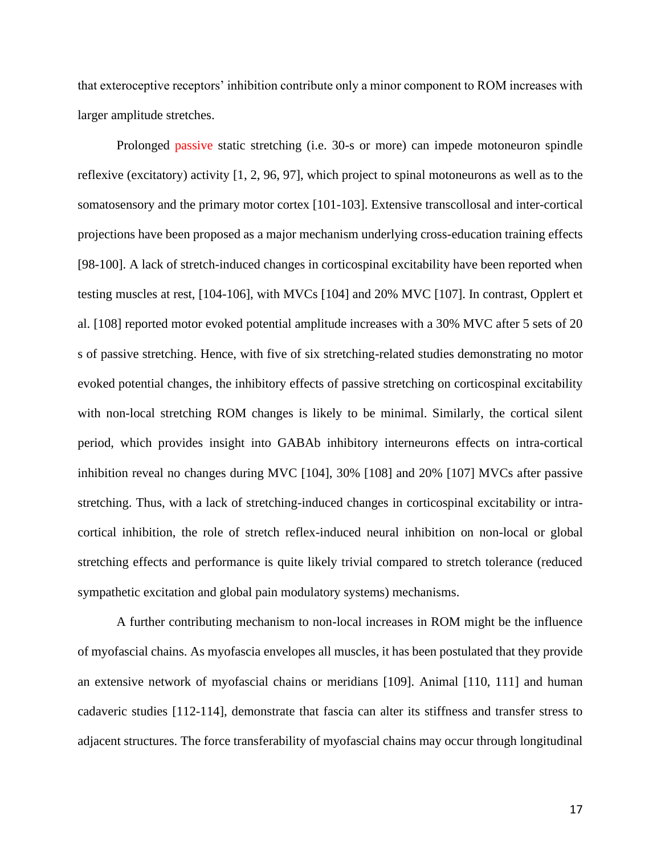that exteroceptive receptors' inhibition contribute only a minor component to ROM increases with larger amplitude stretches.

Prolonged passive static stretching (i.e. 30-s or more) can impede motoneuron spindle reflexive (excitatory) activity [1, 2, 96, 97], which project to spinal motoneurons as well as to the somatosensory and the primary motor cortex [101-103]. Extensive transcollosal and inter-cortical projections have been proposed as a major mechanism underlying cross-education training effects [98-100]. A lack of stretch-induced changes in corticospinal excitability have been reported when testing muscles at rest, [104-106], with MVCs [104] and 20% MVC [107]. In contrast, Opplert et al. [108] reported motor evoked potential amplitude increases with a 30% MVC after 5 sets of 20 s of passive stretching. Hence, with five of six stretching-related studies demonstrating no motor evoked potential changes, the inhibitory effects of passive stretching on corticospinal excitability with non-local stretching ROM changes is likely to be minimal. Similarly, the cortical silent period, which provides insight into GABAb inhibitory interneurons effects on intra-cortical inhibition reveal no changes during MVC [104], 30% [108] and 20% [107] MVCs after passive stretching. Thus, with a lack of stretching-induced changes in corticospinal excitability or intracortical inhibition, the role of stretch reflex-induced neural inhibition on non-local or global stretching effects and performance is quite likely trivial compared to stretch tolerance (reduced sympathetic excitation and global pain modulatory systems) mechanisms.

A further contributing mechanism to non-local increases in ROM might be the influence of myofascial chains. As myofascia envelopes all muscles, it has been postulated that they provide an extensive network of myofascial chains or meridians [109]. Animal [110, 111] and human cadaveric studies [112-114], demonstrate that fascia can alter its stiffness and transfer stress to adjacent structures. The force transferability of myofascial chains may occur through longitudinal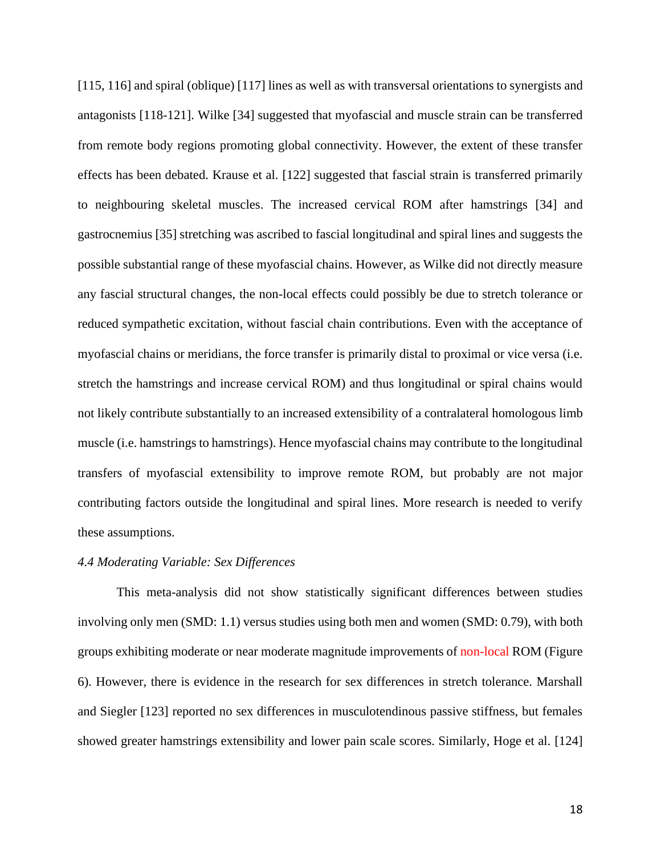[115, 116] and spiral (oblique) [117] lines as well as with transversal orientations to synergists and antagonists [118-121]. Wilke [34] suggested that myofascial and muscle strain can be transferred from remote body regions promoting global connectivity. However, the extent of these transfer effects has been debated. Krause et al. [122] suggested that fascial strain is transferred primarily to neighbouring skeletal muscles. The increased cervical ROM after hamstrings [34] and gastrocnemius [35] stretching was ascribed to fascial longitudinal and spiral lines and suggests the possible substantial range of these myofascial chains. However, as Wilke did not directly measure any fascial structural changes, the non-local effects could possibly be due to stretch tolerance or reduced sympathetic excitation, without fascial chain contributions. Even with the acceptance of myofascial chains or meridians, the force transfer is primarily distal to proximal or vice versa (i.e. stretch the hamstrings and increase cervical ROM) and thus longitudinal or spiral chains would not likely contribute substantially to an increased extensibility of a contralateral homologous limb muscle (i.e. hamstrings to hamstrings). Hence myofascial chains may contribute to the longitudinal transfers of myofascial extensibility to improve remote ROM, but probably are not major contributing factors outside the longitudinal and spiral lines. More research is needed to verify these assumptions.

### *4.4 Moderating Variable: Sex Differences*

This meta-analysis did not show statistically significant differences between studies involving only men (SMD: 1.1) versus studies using both men and women (SMD: 0.79), with both groups exhibiting moderate or near moderate magnitude improvements of non-local ROM (Figure 6). However, there is evidence in the research for sex differences in stretch tolerance. Marshall and Siegler [123] reported no sex differences in musculotendinous passive stiffness, but females showed greater hamstrings extensibility and lower pain scale scores. Similarly, Hoge et al. [124]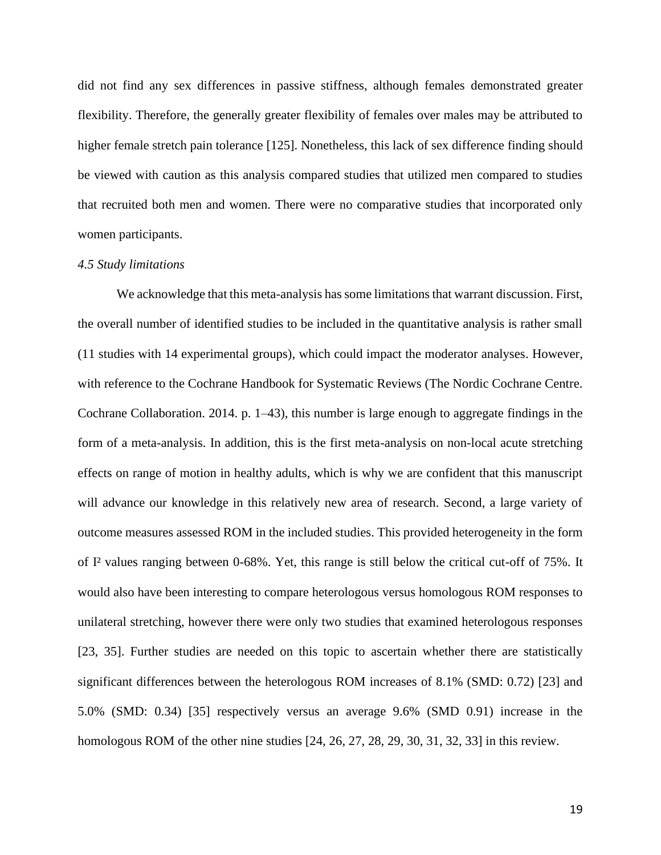did not find any sex differences in passive stiffness, although females demonstrated greater flexibility. Therefore, the generally greater flexibility of females over males may be attributed to higher female stretch pain tolerance [125]. Nonetheless, this lack of sex difference finding should be viewed with caution as this analysis compared studies that utilized men compared to studies that recruited both men and women. There were no comparative studies that incorporated only women participants.

#### *4.5 Study limitations*

We acknowledge that this meta-analysis has some limitations that warrant discussion. First, the overall number of identified studies to be included in the quantitative analysis is rather small (11 studies with 14 experimental groups), which could impact the moderator analyses. However, with reference to the Cochrane Handbook for Systematic Reviews (The Nordic Cochrane Centre. Cochrane Collaboration. 2014. p. 1–43), this number is large enough to aggregate findings in the form of a meta-analysis. In addition, this is the first meta-analysis on non-local acute stretching effects on range of motion in healthy adults, which is why we are confident that this manuscript will advance our knowledge in this relatively new area of research. Second, a large variety of outcome measures assessed ROM in the included studies. This provided heterogeneity in the form of I² values ranging between 0-68%. Yet, this range is still below the critical cut-off of 75%. It would also have been interesting to compare heterologous versus homologous ROM responses to unilateral stretching, however there were only two studies that examined heterologous responses [23, 35]. Further studies are needed on this topic to ascertain whether there are statistically significant differences between the heterologous ROM increases of 8.1% (SMD: 0.72) [23] and 5.0% (SMD: 0.34) [35] respectively versus an average 9.6% (SMD 0.91) increase in the homologous ROM of the other nine studies [24, 26, 27, 28, 29, 30, 31, 32, 33] in this review.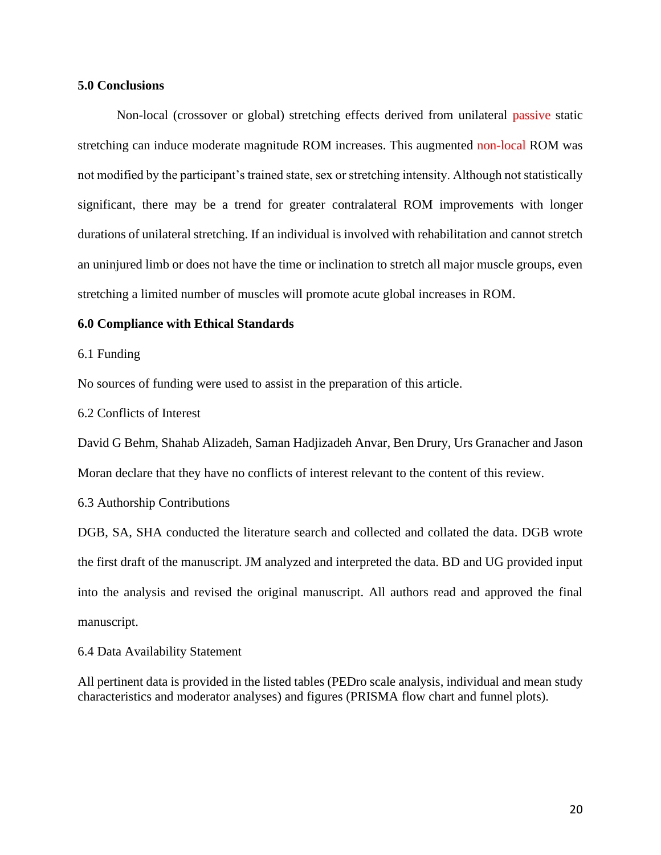### **5.0 Conclusions**

Non-local (crossover or global) stretching effects derived from unilateral passive static stretching can induce moderate magnitude ROM increases. This augmented non-local ROM was not modified by the participant's trained state, sex or stretching intensity. Although not statistically significant, there may be a trend for greater contralateral ROM improvements with longer durations of unilateral stretching. If an individual is involved with rehabilitation and cannot stretch an uninjured limb or does not have the time or inclination to stretch all major muscle groups, even stretching a limited number of muscles will promote acute global increases in ROM.

#### **6.0 Compliance with Ethical Standards**

6.1 Funding

No sources of funding were used to assist in the preparation of this article.

6.2 Conflicts of Interest

David G Behm, Shahab Alizadeh, Saman Hadjizadeh Anvar, Ben Drury, Urs Granacher and Jason Moran declare that they have no conflicts of interest relevant to the content of this review.

6.3 Authorship Contributions

DGB, SA, SHA conducted the literature search and collected and collated the data. DGB wrote the first draft of the manuscript. JM analyzed and interpreted the data. BD and UG provided input into the analysis and revised the original manuscript. All authors read and approved the final manuscript.

6.4 Data Availability Statement

All pertinent data is provided in the listed tables (PEDro scale analysis, individual and mean study characteristics and moderator analyses) and figures (PRISMA flow chart and funnel plots).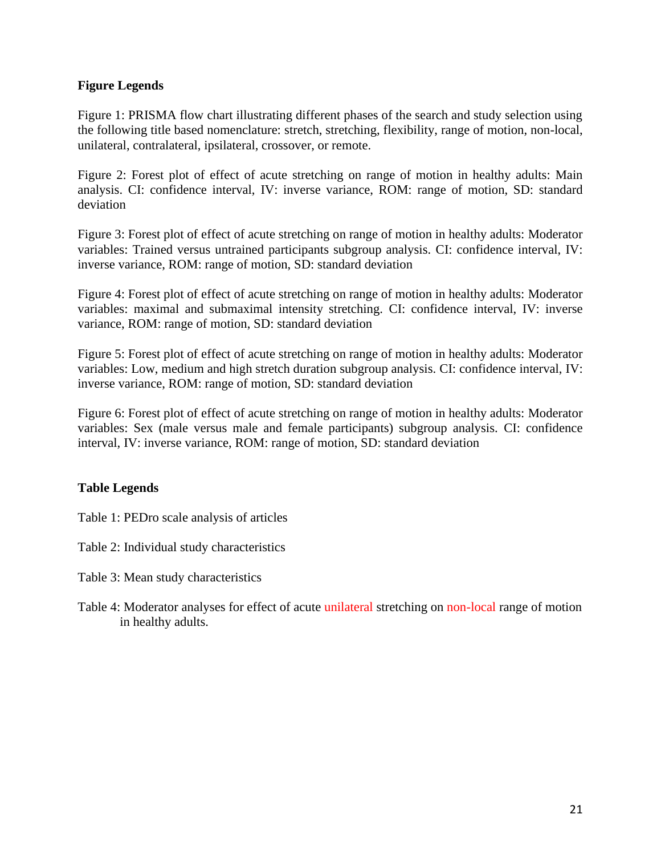## **Figure Legends**

Figure 1: PRISMA flow chart illustrating different phases of the search and study selection using the following title based nomenclature: stretch, stretching, flexibility, range of motion, non-local, unilateral, contralateral, ipsilateral, crossover, or remote.

Figure 2: Forest plot of effect of acute stretching on range of motion in healthy adults: Main analysis. CI: confidence interval, IV: inverse variance, ROM: range of motion, SD: standard deviation

Figure 3: Forest plot of effect of acute stretching on range of motion in healthy adults: Moderator variables: Trained versus untrained participants subgroup analysis. CI: confidence interval, IV: inverse variance, ROM: range of motion, SD: standard deviation

Figure 4: Forest plot of effect of acute stretching on range of motion in healthy adults: Moderator variables: maximal and submaximal intensity stretching. CI: confidence interval, IV: inverse variance, ROM: range of motion, SD: standard deviation

Figure 5: Forest plot of effect of acute stretching on range of motion in healthy adults: Moderator variables: Low, medium and high stretch duration subgroup analysis. CI: confidence interval, IV: inverse variance, ROM: range of motion, SD: standard deviation

Figure 6: Forest plot of effect of acute stretching on range of motion in healthy adults: Moderator variables: Sex (male versus male and female participants) subgroup analysis. CI: confidence interval, IV: inverse variance, ROM: range of motion, SD: standard deviation

## **Table Legends**

Table 1: PEDro scale analysis of articles

Table 2: Individual study characteristics

- Table 3: Mean study characteristics
- Table 4: Moderator analyses for effect of acute unilateral stretching on non-local range of motion in healthy adults.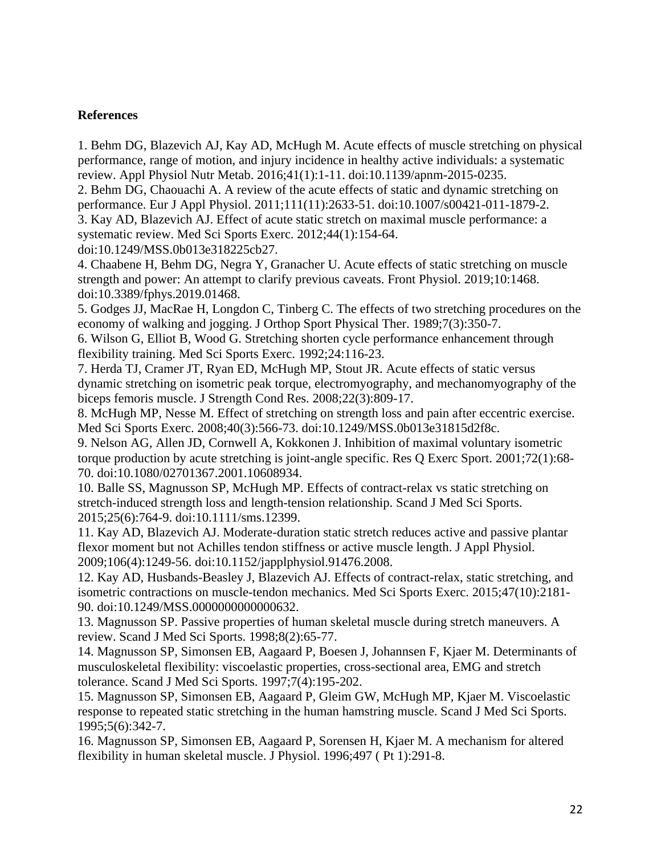## **References**

1. Behm DG, Blazevich AJ, Kay AD, McHugh M. Acute effects of muscle stretching on physical performance, range of motion, and injury incidence in healthy active individuals: a systematic review. Appl Physiol Nutr Metab. 2016;41(1):1-11. doi:10.1139/apnm-2015-0235.

2. Behm DG, Chaouachi A. A review of the acute effects of static and dynamic stretching on performance. Eur J Appl Physiol. 2011;111(11):2633-51. doi:10.1007/s00421-011-1879-2.

3. Kay AD, Blazevich AJ. Effect of acute static stretch on maximal muscle performance: a systematic review. Med Sci Sports Exerc. 2012;44(1):154-64.

doi:10.1249/MSS.0b013e318225cb27.

4. Chaabene H, Behm DG, Negra Y, Granacher U. Acute effects of static stretching on muscle strength and power: An attempt to clarify previous caveats. Front Physiol. 2019;10:1468. doi:10.3389/fphys.2019.01468.

5. Godges JJ, MacRae H, Longdon C, Tinberg C. The effects of two stretching procedures on the economy of walking and jogging. J Orthop Sport Physical Ther. 1989;7(3):350-7.

6. Wilson G, Elliot B, Wood G. Stretching shorten cycle performance enhancement through flexibility training. Med Sci Sports Exerc. 1992;24:116-23.

7. Herda TJ, Cramer JT, Ryan ED, McHugh MP, Stout JR. Acute effects of static versus dynamic stretching on isometric peak torque, electromyography, and mechanomyography of the biceps femoris muscle. J Strength Cond Res. 2008;22(3):809-17.

8. McHugh MP, Nesse M. Effect of stretching on strength loss and pain after eccentric exercise. Med Sci Sports Exerc. 2008;40(3):566-73. doi:10.1249/MSS.0b013e31815d2f8c.

9. Nelson AG, Allen JD, Cornwell A, Kokkonen J. Inhibition of maximal voluntary isometric torque production by acute stretching is joint-angle specific. Res Q Exerc Sport. 2001;72(1):68- 70. doi:10.1080/02701367.2001.10608934.

10. Balle SS, Magnusson SP, McHugh MP. Effects of contract-relax vs static stretching on stretch-induced strength loss and length-tension relationship. Scand J Med Sci Sports. 2015;25(6):764-9. doi:10.1111/sms.12399.

11. Kay AD, Blazevich AJ. Moderate-duration static stretch reduces active and passive plantar flexor moment but not Achilles tendon stiffness or active muscle length. J Appl Physiol. 2009;106(4):1249-56. doi:10.1152/japplphysiol.91476.2008.

12. Kay AD, Husbands-Beasley J, Blazevich AJ. Effects of contract-relax, static stretching, and isometric contractions on muscle-tendon mechanics. Med Sci Sports Exerc. 2015;47(10):2181- 90. doi:10.1249/MSS.0000000000000632.

13. Magnusson SP. Passive properties of human skeletal muscle during stretch maneuvers. A review. Scand J Med Sci Sports. 1998;8(2):65-77.

14. Magnusson SP, Simonsen EB, Aagaard P, Boesen J, Johannsen F, Kjaer M. Determinants of musculoskeletal flexibility: viscoelastic properties, cross-sectional area, EMG and stretch tolerance. Scand J Med Sci Sports. 1997;7(4):195-202.

15. Magnusson SP, Simonsen EB, Aagaard P, Gleim GW, McHugh MP, Kjaer M. Viscoelastic response to repeated static stretching in the human hamstring muscle. Scand J Med Sci Sports. 1995;5(6):342-7.

16. Magnusson SP, Simonsen EB, Aagaard P, Sorensen H, Kjaer M. A mechanism for altered flexibility in human skeletal muscle. J Physiol. 1996;497 ( Pt 1):291-8.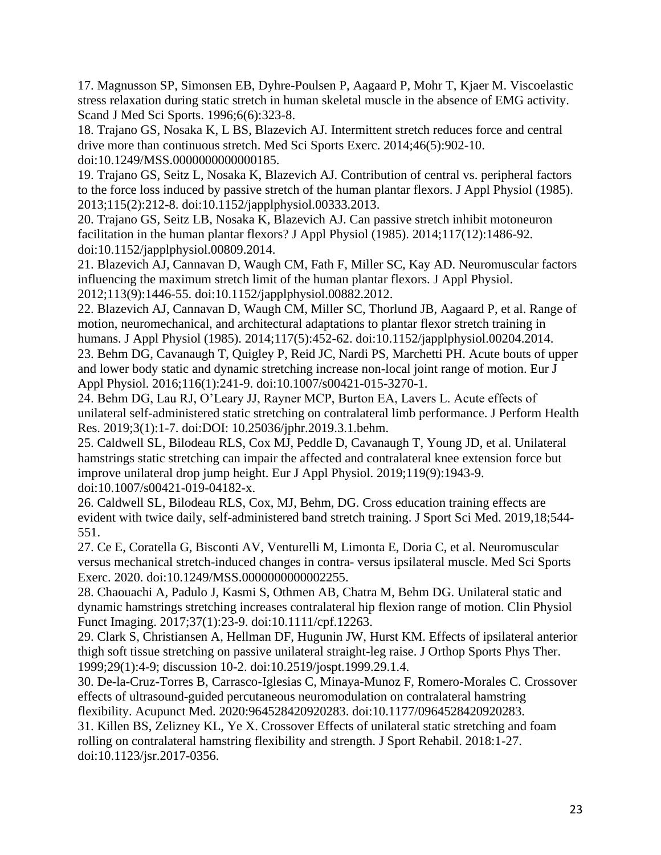17. Magnusson SP, Simonsen EB, Dyhre-Poulsen P, Aagaard P, Mohr T, Kjaer M. Viscoelastic stress relaxation during static stretch in human skeletal muscle in the absence of EMG activity. Scand J Med Sci Sports. 1996;6(6):323-8.

18. Trajano GS, Nosaka K, L BS, Blazevich AJ. Intermittent stretch reduces force and central drive more than continuous stretch. Med Sci Sports Exerc. 2014;46(5):902-10. doi:10.1249/MSS.0000000000000185.

19. Trajano GS, Seitz L, Nosaka K, Blazevich AJ. Contribution of central vs. peripheral factors to the force loss induced by passive stretch of the human plantar flexors. J Appl Physiol (1985). 2013;115(2):212-8. doi:10.1152/japplphysiol.00333.2013.

20. Trajano GS, Seitz LB, Nosaka K, Blazevich AJ. Can passive stretch inhibit motoneuron facilitation in the human plantar flexors? J Appl Physiol (1985). 2014;117(12):1486-92. doi:10.1152/japplphysiol.00809.2014.

21. Blazevich AJ, Cannavan D, Waugh CM, Fath F, Miller SC, Kay AD. Neuromuscular factors influencing the maximum stretch limit of the human plantar flexors. J Appl Physiol. 2012;113(9):1446-55. doi:10.1152/japplphysiol.00882.2012.

22. Blazevich AJ, Cannavan D, Waugh CM, Miller SC, Thorlund JB, Aagaard P, et al. Range of motion, neuromechanical, and architectural adaptations to plantar flexor stretch training in humans. J Appl Physiol (1985). 2014;117(5):452-62. doi:10.1152/japplphysiol.00204.2014. 23. Behm DG, Cavanaugh T, Quigley P, Reid JC, Nardi PS, Marchetti PH. Acute bouts of upper and lower body static and dynamic stretching increase non-local joint range of motion. Eur J Appl Physiol. 2016;116(1):241-9. doi:10.1007/s00421-015-3270-1.

24. Behm DG, Lau RJ, O'Leary JJ, Rayner MCP, Burton EA, Lavers L. Acute effects of unilateral self-administered static stretching on contralateral limb performance. J Perform Health Res. 2019;3(1):1-7. doi:DOI: 10.25036/jphr.2019.3.1.behm.

25. Caldwell SL, Bilodeau RLS, Cox MJ, Peddle D, Cavanaugh T, Young JD, et al. Unilateral hamstrings static stretching can impair the affected and contralateral knee extension force but improve unilateral drop jump height. Eur J Appl Physiol. 2019;119(9):1943-9. doi:10.1007/s00421-019-04182-x.

26. Caldwell SL, Bilodeau RLS, Cox, MJ, Behm, DG. Cross education training effects are evident with twice daily, self-administered band stretch training. J Sport Sci Med. 2019,18;544- 551.

27. Ce E, Coratella G, Bisconti AV, Venturelli M, Limonta E, Doria C, et al. Neuromuscular versus mechanical stretch-induced changes in contra- versus ipsilateral muscle. Med Sci Sports Exerc. 2020. doi:10.1249/MSS.0000000000002255.

28. Chaouachi A, Padulo J, Kasmi S, Othmen AB, Chatra M, Behm DG. Unilateral static and dynamic hamstrings stretching increases contralateral hip flexion range of motion. Clin Physiol Funct Imaging. 2017;37(1):23-9. doi:10.1111/cpf.12263.

29. Clark S, Christiansen A, Hellman DF, Hugunin JW, Hurst KM. Effects of ipsilateral anterior thigh soft tissue stretching on passive unilateral straight-leg raise. J Orthop Sports Phys Ther. 1999;29(1):4-9; discussion 10-2. doi:10.2519/jospt.1999.29.1.4.

30. De-la-Cruz-Torres B, Carrasco-Iglesias C, Minaya-Munoz F, Romero-Morales C. Crossover effects of ultrasound-guided percutaneous neuromodulation on contralateral hamstring flexibility. Acupunct Med. 2020:964528420920283. doi:10.1177/0964528420920283.

31. Killen BS, Zelizney KL, Ye X. Crossover Effects of unilateral static stretching and foam rolling on contralateral hamstring flexibility and strength. J Sport Rehabil. 2018:1-27. doi:10.1123/jsr.2017-0356.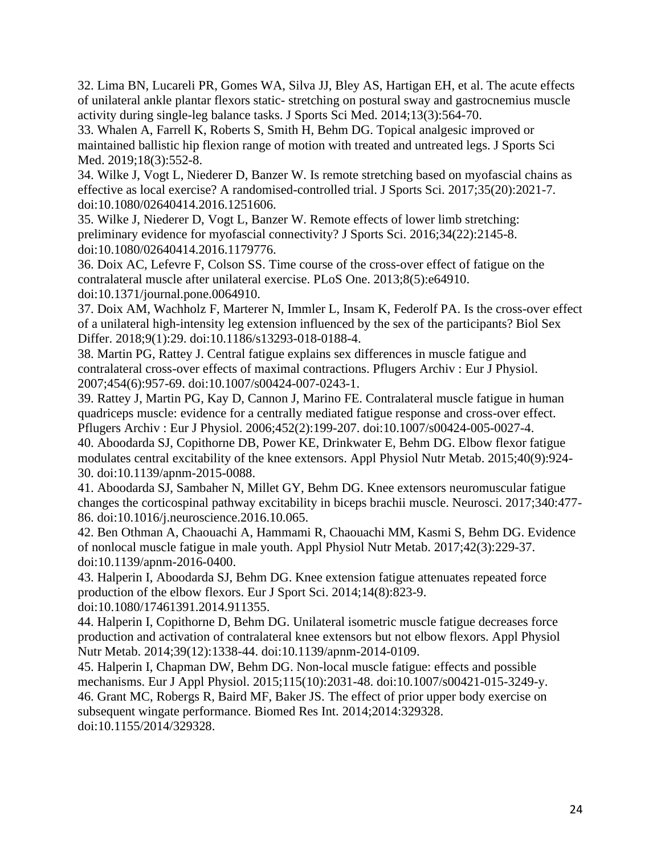32. Lima BN, Lucareli PR, Gomes WA, Silva JJ, Bley AS, Hartigan EH, et al. The acute effects of unilateral ankle plantar flexors static- stretching on postural sway and gastrocnemius muscle activity during single-leg balance tasks. J Sports Sci Med. 2014;13(3):564-70.

33. Whalen A, Farrell K, Roberts S, Smith H, Behm DG. Topical analgesic improved or maintained ballistic hip flexion range of motion with treated and untreated legs. J Sports Sci Med. 2019;18(3):552-8.

34. Wilke J, Vogt L, Niederer D, Banzer W. Is remote stretching based on myofascial chains as effective as local exercise? A randomised-controlled trial. J Sports Sci. 2017;35(20):2021-7. doi:10.1080/02640414.2016.1251606.

35. Wilke J, Niederer D, Vogt L, Banzer W. Remote effects of lower limb stretching: preliminary evidence for myofascial connectivity? J Sports Sci. 2016;34(22):2145-8. doi:10.1080/02640414.2016.1179776.

36. Doix AC, Lefevre F, Colson SS. Time course of the cross-over effect of fatigue on the contralateral muscle after unilateral exercise. PLoS One. 2013;8(5):e64910. doi:10.1371/journal.pone.0064910.

37. Doix AM, Wachholz F, Marterer N, Immler L, Insam K, Federolf PA. Is the cross-over effect of a unilateral high-intensity leg extension influenced by the sex of the participants? Biol Sex Differ. 2018;9(1):29. doi:10.1186/s13293-018-0188-4.

38. Martin PG, Rattey J. Central fatigue explains sex differences in muscle fatigue and contralateral cross-over effects of maximal contractions. Pflugers Archiv : Eur J Physiol. 2007;454(6):957-69. doi:10.1007/s00424-007-0243-1.

39. Rattey J, Martin PG, Kay D, Cannon J, Marino FE. Contralateral muscle fatigue in human quadriceps muscle: evidence for a centrally mediated fatigue response and cross-over effect. Pflugers Archiv : Eur J Physiol. 2006;452(2):199-207. doi:10.1007/s00424-005-0027-4.

40. Aboodarda SJ, Copithorne DB, Power KE, Drinkwater E, Behm DG. Elbow flexor fatigue modulates central excitability of the knee extensors. Appl Physiol Nutr Metab. 2015;40(9):924- 30. doi:10.1139/apnm-2015-0088.

41. Aboodarda SJ, Sambaher N, Millet GY, Behm DG. Knee extensors neuromuscular fatigue changes the corticospinal pathway excitability in biceps brachii muscle. Neurosci. 2017;340:477- 86. doi:10.1016/j.neuroscience.2016.10.065.

42. Ben Othman A, Chaouachi A, Hammami R, Chaouachi MM, Kasmi S, Behm DG. Evidence of nonlocal muscle fatigue in male youth. Appl Physiol Nutr Metab. 2017;42(3):229-37. doi:10.1139/apnm-2016-0400.

43. Halperin I, Aboodarda SJ, Behm DG. Knee extension fatigue attenuates repeated force production of the elbow flexors. Eur J Sport Sci. 2014;14(8):823-9. doi:10.1080/17461391.2014.911355.

44. Halperin I, Copithorne D, Behm DG. Unilateral isometric muscle fatigue decreases force production and activation of contralateral knee extensors but not elbow flexors. Appl Physiol Nutr Metab. 2014;39(12):1338-44. doi:10.1139/apnm-2014-0109.

45. Halperin I, Chapman DW, Behm DG. Non-local muscle fatigue: effects and possible mechanisms. Eur J Appl Physiol. 2015;115(10):2031-48. doi:10.1007/s00421-015-3249-y. 46. Grant MC, Robergs R, Baird MF, Baker JS. The effect of prior upper body exercise on subsequent wingate performance. Biomed Res Int. 2014;2014:329328. doi:10.1155/2014/329328.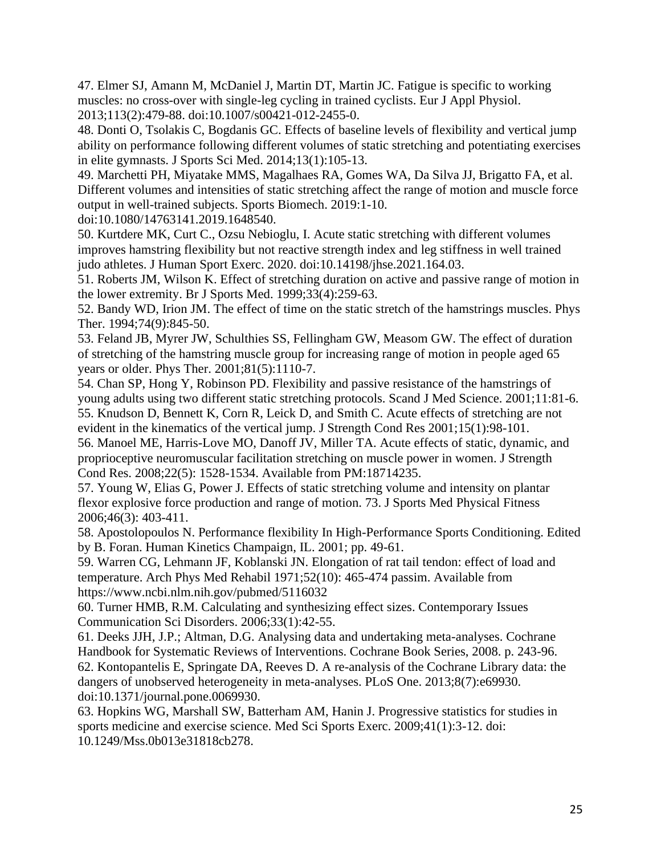47. Elmer SJ, Amann M, McDaniel J, Martin DT, Martin JC. Fatigue is specific to working muscles: no cross-over with single-leg cycling in trained cyclists. Eur J Appl Physiol. 2013;113(2):479-88. doi:10.1007/s00421-012-2455-0.

48. Donti O, Tsolakis C, Bogdanis GC. Effects of baseline levels of flexibility and vertical jump ability on performance following different volumes of static stretching and potentiating exercises in elite gymnasts. J Sports Sci Med. 2014;13(1):105-13.

49. Marchetti PH, Miyatake MMS, Magalhaes RA, Gomes WA, Da Silva JJ, Brigatto FA, et al. Different volumes and intensities of static stretching affect the range of motion and muscle force output in well-trained subjects. Sports Biomech. 2019:1-10.

doi:10.1080/14763141.2019.1648540.

50. Kurtdere MK, Curt C., Ozsu Nebioglu, I. Acute static stretching with different volumes improves hamstring flexibility but not reactive strength index and leg stiffness in well trained judo athletes. J Human Sport Exerc. 2020. doi:10.14198/jhse.2021.164.03.

51. Roberts JM, Wilson K. Effect of stretching duration on active and passive range of motion in the lower extremity. Br J Sports Med. 1999;33(4):259-63.

52. Bandy WD, Irion JM. The effect of time on the static stretch of the hamstrings muscles. Phys Ther. 1994;74(9):845-50.

53. Feland JB, Myrer JW, Schulthies SS, Fellingham GW, Measom GW. The effect of duration of stretching of the hamstring muscle group for increasing range of motion in people aged 65 years or older. Phys Ther. 2001;81(5):1110-7.

54. Chan SP, Hong Y, Robinson PD. Flexibility and passive resistance of the hamstrings of young adults using two different static stretching protocols. Scand J Med Science. 2001;11:81-6. 55. Knudson D, Bennett K, Corn R, Leick D, and Smith C. Acute effects of stretching are not

evident in the kinematics of the vertical jump. J Strength Cond Res 2001;15(1):98-101. 56. Manoel ME, Harris-Love MO, Danoff JV, Miller TA. Acute effects of static, dynamic, and proprioceptive neuromuscular facilitation stretching on muscle power in women. J Strength Cond Res. 2008;22(5): 1528-1534. Available from PM:18714235.

57. Young W, Elias G, Power J. Effects of static stretching volume and intensity on plantar flexor explosive force production and range of motion. 73. J Sports Med Physical Fitness 2006;46(3): 403-411.

58. Apostolopoulos N. Performance flexibility In High-Performance Sports Conditioning. Edited by B. Foran. Human Kinetics Champaign, IL. 2001; pp. 49-61.

59. Warren CG, Lehmann JF, Koblanski JN. Elongation of rat tail tendon: effect of load and temperature. Arch Phys Med Rehabil 1971;52(10): 465-474 passim. Available from https://www.ncbi.nlm.nih.gov/pubmed/5116032

60. Turner HMB, R.M. Calculating and synthesizing effect sizes. Contemporary Issues Communication Sci Disorders. 2006;33(1):42-55.

61. Deeks JJH, J.P.; Altman, D.G. Analysing data and undertaking meta-analyses. Cochrane Handbook for Systematic Reviews of Interventions. Cochrane Book Series, 2008. p. 243-96. 62. Kontopantelis E, Springate DA, Reeves D. A re-analysis of the Cochrane Library data: the dangers of unobserved heterogeneity in meta-analyses. PLoS One. 2013;8(7):e69930. doi:10.1371/journal.pone.0069930.

63. Hopkins WG, Marshall SW, Batterham AM, Hanin J. Progressive statistics for studies in sports medicine and exercise science. Med Sci Sports Exerc. 2009;41(1):3-12. doi: 10.1249/Mss.0b013e31818cb278.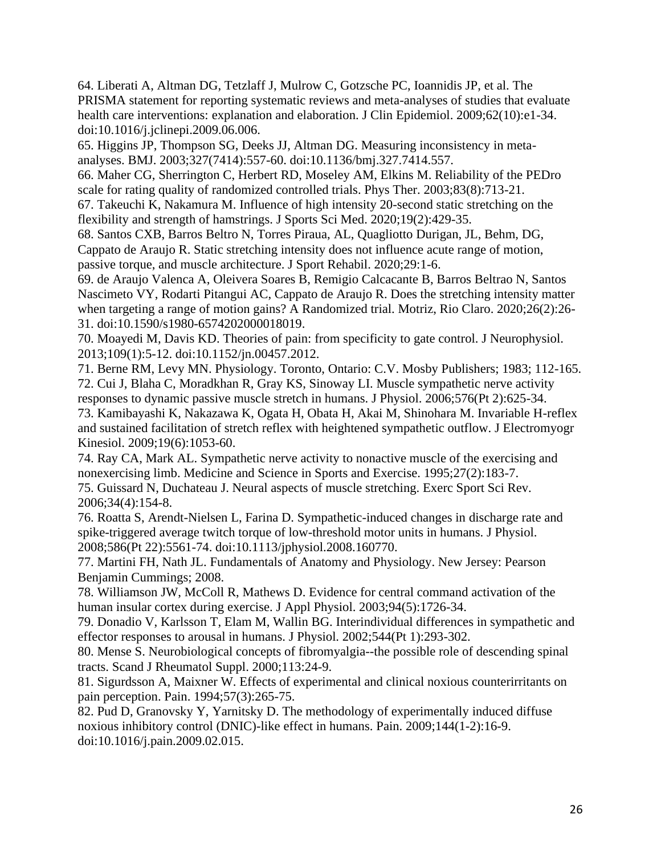64. Liberati A, Altman DG, Tetzlaff J, Mulrow C, Gotzsche PC, Ioannidis JP, et al. The PRISMA statement for reporting systematic reviews and meta-analyses of studies that evaluate health care interventions: explanation and elaboration. J Clin Epidemiol. 2009;62(10):e1-34. doi:10.1016/j.jclinepi.2009.06.006.

65. Higgins JP, Thompson SG, Deeks JJ, Altman DG. Measuring inconsistency in metaanalyses. BMJ. 2003;327(7414):557-60. doi:10.1136/bmj.327.7414.557.

66. Maher CG, Sherrington C, Herbert RD, Moseley AM, Elkins M. Reliability of the PEDro scale for rating quality of randomized controlled trials. Phys Ther. 2003;83(8):713-21.

67. Takeuchi K, Nakamura M. Influence of high intensity 20-second static stretching on the flexibility and strength of hamstrings. J Sports Sci Med. 2020;19(2):429-35.

68. Santos CXB, Barros Beltro N, Torres Piraua, AL, Quagliotto Durigan, JL, Behm, DG, Cappato de Araujo R. Static stretching intensity does not influence acute range of motion, passive torque, and muscle architecture. J Sport Rehabil. 2020;29:1-6.

69. de Araujo Valenca A, Oleivera Soares B, Remigio Calcacante B, Barros Beltrao N, Santos Nascimeto VY, Rodarti Pitangui AC, Cappato de Araujo R. Does the stretching intensity matter when targeting a range of motion gains? A Randomized trial. Motriz, Rio Claro. 2020;26(2):26- 31. doi:10.1590/s1980-6574202000018019.

70. Moayedi M, Davis KD. Theories of pain: from specificity to gate control. J Neurophysiol. 2013;109(1):5-12. doi:10.1152/jn.00457.2012.

71. Berne RM, Levy MN. Physiology. Toronto, Ontario: C.V. Mosby Publishers; 1983; 112-165. 72. Cui J, Blaha C, Moradkhan R, Gray KS, Sinoway LI. Muscle sympathetic nerve activity responses to dynamic passive muscle stretch in humans. J Physiol. 2006;576(Pt 2):625-34.

73. Kamibayashi K, Nakazawa K, Ogata H, Obata H, Akai M, Shinohara M. Invariable H-reflex and sustained facilitation of stretch reflex with heightened sympathetic outflow. J Electromyogr Kinesiol. 2009;19(6):1053-60.

74. Ray CA, Mark AL. Sympathetic nerve activity to nonactive muscle of the exercising and nonexercising limb. Medicine and Science in Sports and Exercise. 1995;27(2):183-7.

75. Guissard N, Duchateau J. Neural aspects of muscle stretching. Exerc Sport Sci Rev. 2006;34(4):154-8.

76. Roatta S, Arendt-Nielsen L, Farina D. Sympathetic-induced changes in discharge rate and spike-triggered average twitch torque of low-threshold motor units in humans. J Physiol. 2008;586(Pt 22):5561-74. doi:10.1113/jphysiol.2008.160770.

77. Martini FH, Nath JL. Fundamentals of Anatomy and Physiology. New Jersey: Pearson Benjamin Cummings; 2008.

78. Williamson JW, McColl R, Mathews D. Evidence for central command activation of the human insular cortex during exercise. J Appl Physiol. 2003;94(5):1726-34.

79. Donadio V, Karlsson T, Elam M, Wallin BG. Interindividual differences in sympathetic and effector responses to arousal in humans. J Physiol. 2002;544(Pt 1):293-302.

80. Mense S. Neurobiological concepts of fibromyalgia--the possible role of descending spinal tracts. Scand J Rheumatol Suppl. 2000;113:24-9.

81. Sigurdsson A, Maixner W. Effects of experimental and clinical noxious counterirritants on pain perception. Pain. 1994;57(3):265-75.

82. Pud D, Granovsky Y, Yarnitsky D. The methodology of experimentally induced diffuse noxious inhibitory control (DNIC)-like effect in humans. Pain. 2009;144(1-2):16-9. doi:10.1016/j.pain.2009.02.015.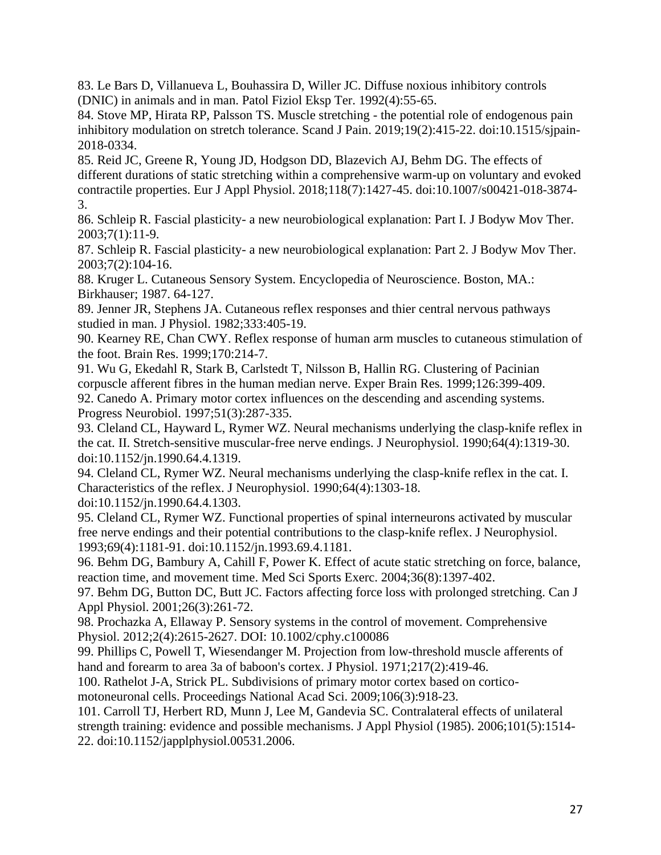83. Le Bars D, Villanueva L, Bouhassira D, Willer JC. Diffuse noxious inhibitory controls (DNIC) in animals and in man. Patol Fiziol Eksp Ter. 1992(4):55-65.

84. Stove MP, Hirata RP, Palsson TS. Muscle stretching - the potential role of endogenous pain inhibitory modulation on stretch tolerance. Scand J Pain. 2019;19(2):415-22. doi:10.1515/sjpain-2018-0334.

85. Reid JC, Greene R, Young JD, Hodgson DD, Blazevich AJ, Behm DG. The effects of different durations of static stretching within a comprehensive warm-up on voluntary and evoked contractile properties. Eur J Appl Physiol. 2018;118(7):1427-45. doi:10.1007/s00421-018-3874- 3.

86. Schleip R. Fascial plasticity- a new neurobiological explanation: Part I. J Bodyw Mov Ther. 2003;7(1):11-9.

87. Schleip R. Fascial plasticity- a new neurobiological explanation: Part 2. J Bodyw Mov Ther. 2003;7(2):104-16.

88. Kruger L. Cutaneous Sensory System. Encyclopedia of Neuroscience. Boston, MA.: Birkhauser; 1987. 64-127.

89. Jenner JR, Stephens JA. Cutaneous reflex responses and thier central nervous pathways studied in man. J Physiol. 1982;333:405-19.

90. Kearney RE, Chan CWY. Reflex response of human arm muscles to cutaneous stimulation of the foot. Brain Res. 1999;170:214-7.

91. Wu G, Ekedahl R, Stark B, Carlstedt T, Nilsson B, Hallin RG. Clustering of Pacinian corpuscle afferent fibres in the human median nerve. Exper Brain Res. 1999;126:399-409.

92. Canedo A. Primary motor cortex influences on the descending and ascending systems. Progress Neurobiol. 1997;51(3):287-335.

93. Cleland CL, Hayward L, Rymer WZ. Neural mechanisms underlying the clasp-knife reflex in the cat. II. Stretch-sensitive muscular-free nerve endings. J Neurophysiol. 1990;64(4):1319-30. doi:10.1152/jn.1990.64.4.1319.

94. Cleland CL, Rymer WZ. Neural mechanisms underlying the clasp-knife reflex in the cat. I. Characteristics of the reflex. J Neurophysiol. 1990;64(4):1303-18.

doi:10.1152/jn.1990.64.4.1303.

95. Cleland CL, Rymer WZ. Functional properties of spinal interneurons activated by muscular free nerve endings and their potential contributions to the clasp-knife reflex. J Neurophysiol. 1993;69(4):1181-91. doi:10.1152/jn.1993.69.4.1181.

96. Behm DG, Bambury A, Cahill F, Power K. Effect of acute static stretching on force, balance, reaction time, and movement time. Med Sci Sports Exerc. 2004;36(8):1397-402.

97. Behm DG, Button DC, Butt JC. Factors affecting force loss with prolonged stretching. Can J Appl Physiol. 2001;26(3):261-72.

98. Prochazka A, Ellaway P. Sensory systems in the control of movement. Comprehensive Physiol. 2012;2(4):2615-2627. DOI: 10.1002/cphy.c100086

99. Phillips C, Powell T, Wiesendanger M. Projection from low-threshold muscle afferents of hand and forearm to area 3a of baboon's cortex. J Physiol. 1971;217(2):419-46.

100. Rathelot J-A, Strick PL. Subdivisions of primary motor cortex based on corticomotoneuronal cells. Proceedings National Acad Sci. 2009;106(3):918-23.

101. Carroll TJ, Herbert RD, Munn J, Lee M, Gandevia SC. Contralateral effects of unilateral strength training: evidence and possible mechanisms. J Appl Physiol (1985). 2006;101(5):1514- 22. doi:10.1152/japplphysiol.00531.2006.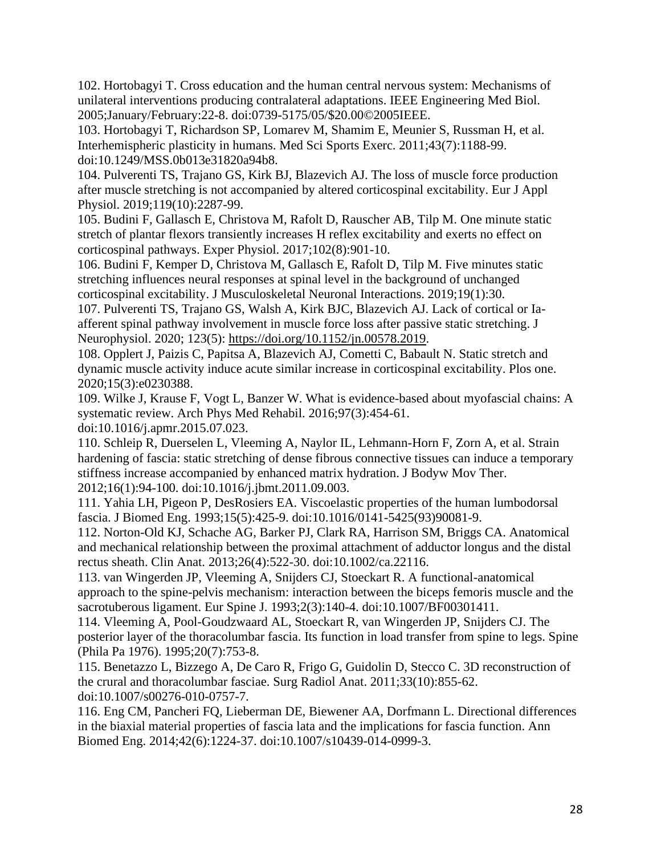102. Hortobagyi T. Cross education and the human central nervous system: Mechanisms of unilateral interventions producing contralateral adaptations. IEEE Engineering Med Biol. 2005;January/February:22-8. doi:0739-5175/05/\$20.00©2005IEEE.

103. Hortobagyi T, Richardson SP, Lomarev M, Shamim E, Meunier S, Russman H, et al. Interhemispheric plasticity in humans. Med Sci Sports Exerc. 2011;43(7):1188-99. doi:10.1249/MSS.0b013e31820a94b8.

104. Pulverenti TS, Trajano GS, Kirk BJ, Blazevich AJ. The loss of muscle force production after muscle stretching is not accompanied by altered corticospinal excitability. Eur J Appl Physiol. 2019;119(10):2287-99.

105. Budini F, Gallasch E, Christova M, Rafolt D, Rauscher AB, Tilp M. One minute static stretch of plantar flexors transiently increases H reflex excitability and exerts no effect on corticospinal pathways. Exper Physiol. 2017;102(8):901-10.

106. Budini F, Kemper D, Christova M, Gallasch E, Rafolt D, Tilp M. Five minutes static stretching influences neural responses at spinal level in the background of unchanged corticospinal excitability. J Musculoskeletal Neuronal Interactions. 2019;19(1):30.

107. Pulverenti TS, Trajano GS, Walsh A, Kirk BJC, Blazevich AJ. Lack of cortical or Iaafferent spinal pathway involvement in muscle force loss after passive static stretching. J Neurophysiol. 2020; 123(5): [https://doi.org/10.1152/jn.00578.2019.](https://doi.org/10.1152/jn.00578.2019)

108. Opplert J, Paizis C, Papitsa A, Blazevich AJ, Cometti C, Babault N. Static stretch and dynamic muscle activity induce acute similar increase in corticospinal excitability. Plos one. 2020;15(3):e0230388.

109. Wilke J, Krause F, Vogt L, Banzer W. What is evidence-based about myofascial chains: A systematic review. Arch Phys Med Rehabil. 2016;97(3):454-61.

doi:10.1016/j.apmr.2015.07.023.

110. Schleip R, Duerselen L, Vleeming A, Naylor IL, Lehmann-Horn F, Zorn A, et al. Strain hardening of fascia: static stretching of dense fibrous connective tissues can induce a temporary stiffness increase accompanied by enhanced matrix hydration. J Bodyw Mov Ther. 2012;16(1):94-100. doi:10.1016/j.jbmt.2011.09.003.

111. Yahia LH, Pigeon P, DesRosiers EA. Viscoelastic properties of the human lumbodorsal fascia. J Biomed Eng. 1993;15(5):425-9. doi:10.1016/0141-5425(93)90081-9.

112. Norton-Old KJ, Schache AG, Barker PJ, Clark RA, Harrison SM, Briggs CA. Anatomical and mechanical relationship between the proximal attachment of adductor longus and the distal rectus sheath. Clin Anat. 2013;26(4):522-30. doi:10.1002/ca.22116.

113. van Wingerden JP, Vleeming A, Snijders CJ, Stoeckart R. A functional-anatomical approach to the spine-pelvis mechanism: interaction between the biceps femoris muscle and the sacrotuberous ligament. Eur Spine J. 1993;2(3):140-4. doi:10.1007/BF00301411.

114. Vleeming A, Pool-Goudzwaard AL, Stoeckart R, van Wingerden JP, Snijders CJ. The posterior layer of the thoracolumbar fascia. Its function in load transfer from spine to legs. Spine (Phila Pa 1976). 1995;20(7):753-8.

115. Benetazzo L, Bizzego A, De Caro R, Frigo G, Guidolin D, Stecco C. 3D reconstruction of the crural and thoracolumbar fasciae. Surg Radiol Anat. 2011;33(10):855-62. doi:10.1007/s00276-010-0757-7.

116. Eng CM, Pancheri FQ, Lieberman DE, Biewener AA, Dorfmann L. Directional differences in the biaxial material properties of fascia lata and the implications for fascia function. Ann Biomed Eng. 2014;42(6):1224-37. doi:10.1007/s10439-014-0999-3.